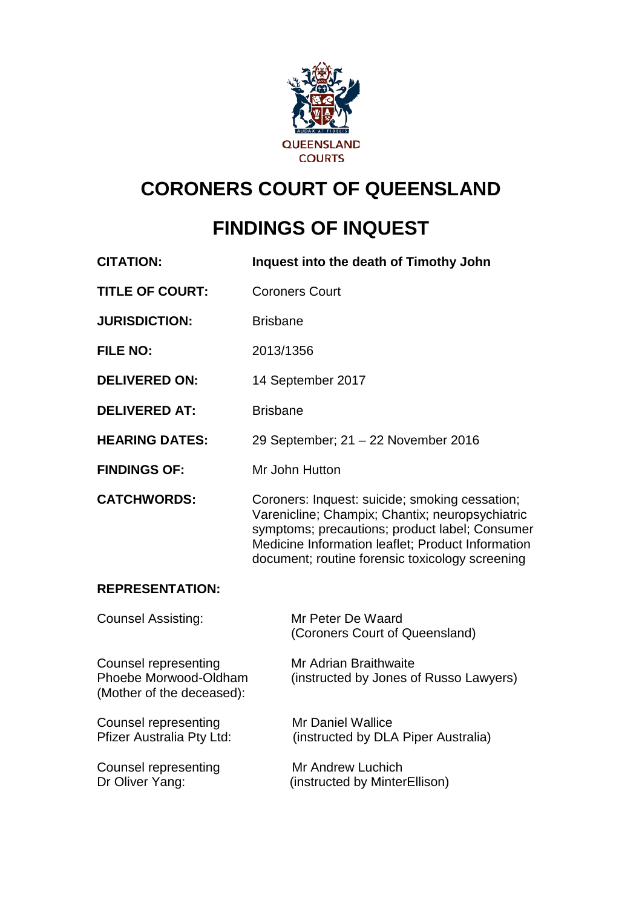

# **CORONERS COURT OF QUEENSLAND**

# **FINDINGS OF INQUEST**

| Inquest into the death of Timothy John                                                                                                                                                                                                                      |  |
|-------------------------------------------------------------------------------------------------------------------------------------------------------------------------------------------------------------------------------------------------------------|--|
| <b>Coroners Court</b>                                                                                                                                                                                                                                       |  |
| <b>Brisbane</b>                                                                                                                                                                                                                                             |  |
| 2013/1356                                                                                                                                                                                                                                                   |  |
| 14 September 2017                                                                                                                                                                                                                                           |  |
| <b>Brisbane</b>                                                                                                                                                                                                                                             |  |
| 29 September; 21 - 22 November 2016                                                                                                                                                                                                                         |  |
| Mr John Hutton                                                                                                                                                                                                                                              |  |
| Coroners: Inquest: suicide; smoking cessation;<br>Varenicline; Champix; Chantix; neuropsychiatric<br>symptoms; precautions; product label; Consumer<br>Medicine Information leaflet; Product Information<br>document; routine forensic toxicology screening |  |
|                                                                                                                                                                                                                                                             |  |
| Mr Peter De Waard<br>(Coroners Court of Queensland)                                                                                                                                                                                                         |  |
| <b>Mr Adrian Braithwaite</b><br>Phoebe Morwood-Oldham<br>(instructed by Jones of Russo Lawyers)                                                                                                                                                             |  |
| <b>Mr Daniel Wallice</b><br>(instructed by DLA Piper Australia)                                                                                                                                                                                             |  |
| <b>Mr Andrew Luchich</b><br>(instructed by MinterEllison)                                                                                                                                                                                                   |  |
|                                                                                                                                                                                                                                                             |  |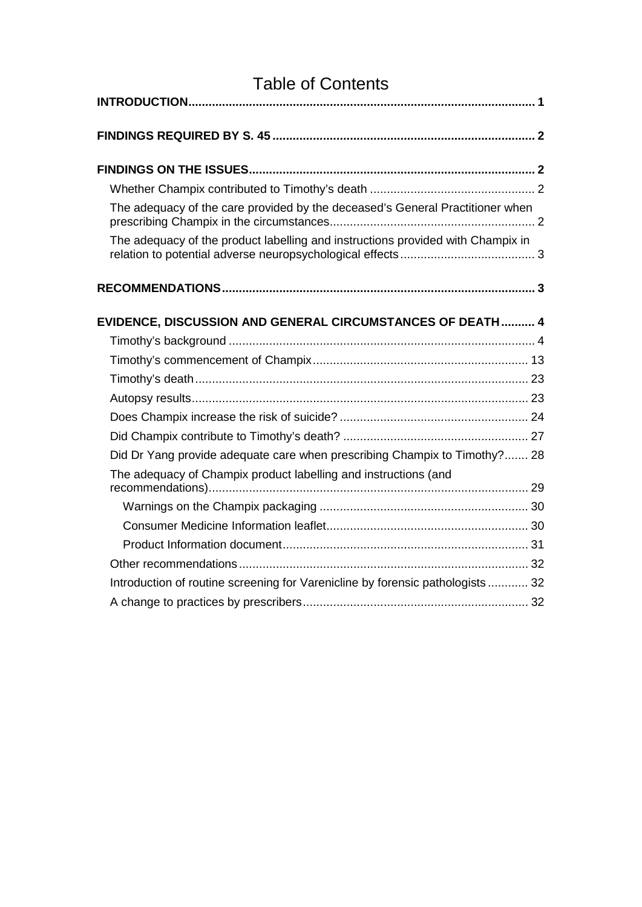<span id="page-1-0"></span>

| <b>Table of Contents</b>                                                        |  |  |
|---------------------------------------------------------------------------------|--|--|
|                                                                                 |  |  |
|                                                                                 |  |  |
|                                                                                 |  |  |
|                                                                                 |  |  |
| The adequacy of the care provided by the deceased's General Practitioner when   |  |  |
| The adequacy of the product labelling and instructions provided with Champix in |  |  |
|                                                                                 |  |  |
| EVIDENCE, DISCUSSION AND GENERAL CIRCUMSTANCES OF DEATH  4                      |  |  |
|                                                                                 |  |  |
|                                                                                 |  |  |
|                                                                                 |  |  |
|                                                                                 |  |  |
|                                                                                 |  |  |
|                                                                                 |  |  |
| Did Dr Yang provide adequate care when prescribing Champix to Timothy? 28       |  |  |
| The adequacy of Champix product labelling and instructions (and                 |  |  |
|                                                                                 |  |  |
|                                                                                 |  |  |
|                                                                                 |  |  |
|                                                                                 |  |  |
| Introduction of routine screening for Varenicline by forensic pathologists 32   |  |  |
|                                                                                 |  |  |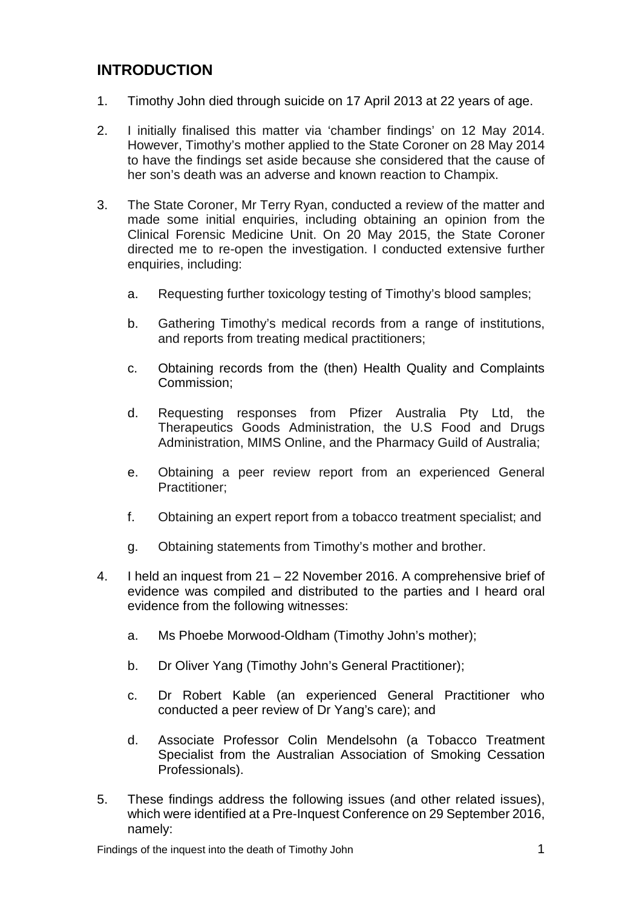# **INTRODUCTION**

- 1. Timothy John died through suicide on 17 April 2013 at 22 years of age.
- 2. I initially finalised this matter via 'chamber findings' on 12 May 2014. However, Timothy's mother applied to the State Coroner on 28 May 2014 to have the findings set aside because she considered that the cause of her son's death was an adverse and known reaction to Champix.
- 3. The State Coroner, Mr Terry Ryan, conducted a review of the matter and made some initial enquiries, including obtaining an opinion from the Clinical Forensic Medicine Unit. On 20 May 2015, the State Coroner directed me to re-open the investigation. I conducted extensive further enquiries, including:
	- a. Requesting further toxicology testing of Timothy's blood samples;
	- b. Gathering Timothy's medical records from a range of institutions, and reports from treating medical practitioners;
	- c. Obtaining records from the (then) Health Quality and Complaints Commission;
	- d. Requesting responses from Pfizer Australia Pty Ltd, the Therapeutics Goods Administration, the U.S Food and Drugs Administration, MIMS Online, and the Pharmacy Guild of Australia;
	- e. Obtaining a peer review report from an experienced General Practitioner;
	- f. Obtaining an expert report from a tobacco treatment specialist; and
	- g. Obtaining statements from Timothy's mother and brother.
- 4. I held an inquest from 21 22 November 2016. A comprehensive brief of evidence was compiled and distributed to the parties and I heard oral evidence from the following witnesses:
	- a. Ms Phoebe Morwood-Oldham (Timothy John's mother);
	- b. Dr Oliver Yang (Timothy John's General Practitioner);
	- c. Dr Robert Kable (an experienced General Practitioner who conducted a peer review of Dr Yang's care); and
	- d. Associate Professor Colin Mendelsohn (a Tobacco Treatment Specialist from the Australian Association of Smoking Cessation Professionals).
- 5. These findings address the following issues (and other related issues), which were identified at a Pre-Inquest Conference on 29 September 2016, namely: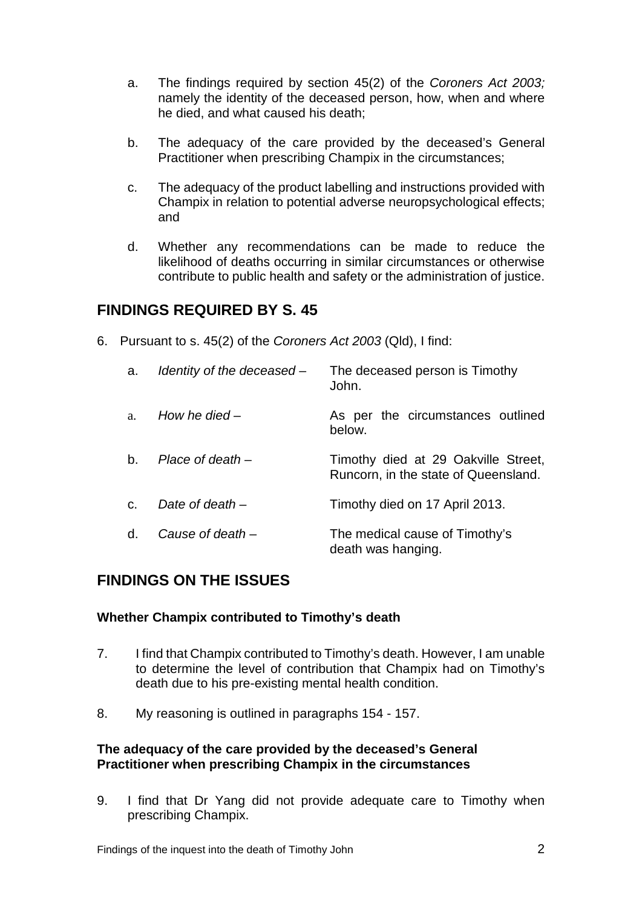- a. The findings required by section 45(2) of the *Coroners Act 2003;* namely the identity of the deceased person, how, when and where he died, and what caused his death;
- b. The adequacy of the care provided by the deceased's General Practitioner when prescribing Champix in the circumstances;
- c. The adequacy of the product labelling and instructions provided with Champix in relation to potential adverse neuropsychological effects; and
- d. Whether any recommendations can be made to reduce the likelihood of deaths occurring in similar circumstances or otherwise contribute to public health and safety or the administration of justice.

## <span id="page-3-0"></span>**FINDINGS REQUIRED BY S. 45**

6. Pursuant to s. 45(2) of the *Coroners Act 2003* (Qld), I find:

| a.             | Identity of the deceased $-$ | The deceased person is Timothy<br>John.                                     |
|----------------|------------------------------|-----------------------------------------------------------------------------|
| a <sub>z</sub> | How he died $-$              | As per the circumstances outlined<br>below.                                 |
| $b_{-}$        | Place of death $-$           | Timothy died at 29 Oakville Street,<br>Runcorn, in the state of Queensland. |
| $C_{1}$        | Date of death $-$            | Timothy died on 17 April 2013.                                              |
| d.             | Cause of death –             | The medical cause of Timothy's<br>death was hanging.                        |

# <span id="page-3-1"></span>**FINDINGS ON THE ISSUES**

#### <span id="page-3-2"></span>**Whether Champix contributed to Timothy's death**

- 7. I find that Champix contributed to Timothy's death. However, I am unable to determine the level of contribution that Champix had on Timothy's death due to his pre-existing mental health condition.
- 8. My reasoning is outlined in paragraphs 154 157.

#### <span id="page-3-3"></span>**The adequacy of the care provided by the deceased's General Practitioner when prescribing Champix in the circumstances**

9. I find that Dr Yang did not provide adequate care to Timothy when prescribing Champix.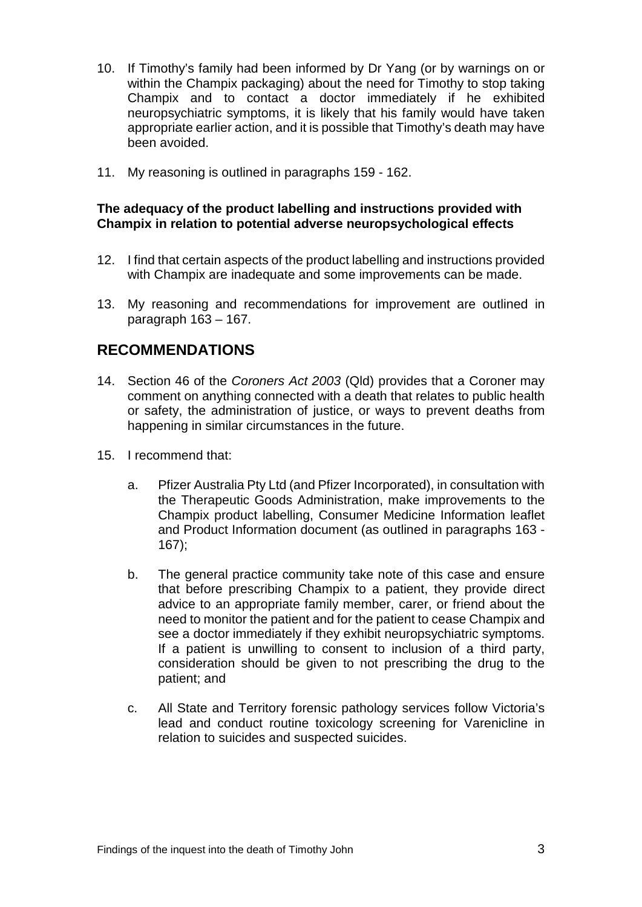- 10. If Timothy's family had been informed by Dr Yang (or by warnings on or within the Champix packaging) about the need for Timothy to stop taking Champix and to contact a doctor immediately if he exhibited neuropsychiatric symptoms, it is likely that his family would have taken appropriate earlier action, and it is possible that Timothy's death may have been avoided.
- 11. My reasoning is outlined in paragraphs 159 162.

#### <span id="page-4-0"></span>**The adequacy of the product labelling and instructions provided with Champix in relation to potential adverse neuropsychological effects**

- 12. I find that certain aspects of the product labelling and instructions provided with Champix are inadequate and some improvements can be made.
- 13. My reasoning and recommendations for improvement are outlined in paragraph 163 – 167.

# <span id="page-4-1"></span>**RECOMMENDATIONS**

- 14. Section 46 of the *Coroners Act 2003* (Qld) provides that a Coroner may comment on anything connected with a death that relates to public health or safety, the administration of justice, or ways to prevent deaths from happening in similar circumstances in the future.
- 15. I recommend that:
	- a. Pfizer Australia Pty Ltd (and Pfizer Incorporated), in consultation with the Therapeutic Goods Administration, make improvements to the Champix product labelling, Consumer Medicine Information leaflet and Product Information document (as outlined in paragraphs 163 - 167);
	- b. The general practice community take note of this case and ensure that before prescribing Champix to a patient, they provide direct advice to an appropriate family member, carer, or friend about the need to monitor the patient and for the patient to cease Champix and see a doctor immediately if they exhibit neuropsychiatric symptoms. If a patient is unwilling to consent to inclusion of a third party, consideration should be given to not prescribing the drug to the patient; and
	- c. All State and Territory forensic pathology services follow Victoria's lead and conduct routine toxicology screening for Varenicline in relation to suicides and suspected suicides.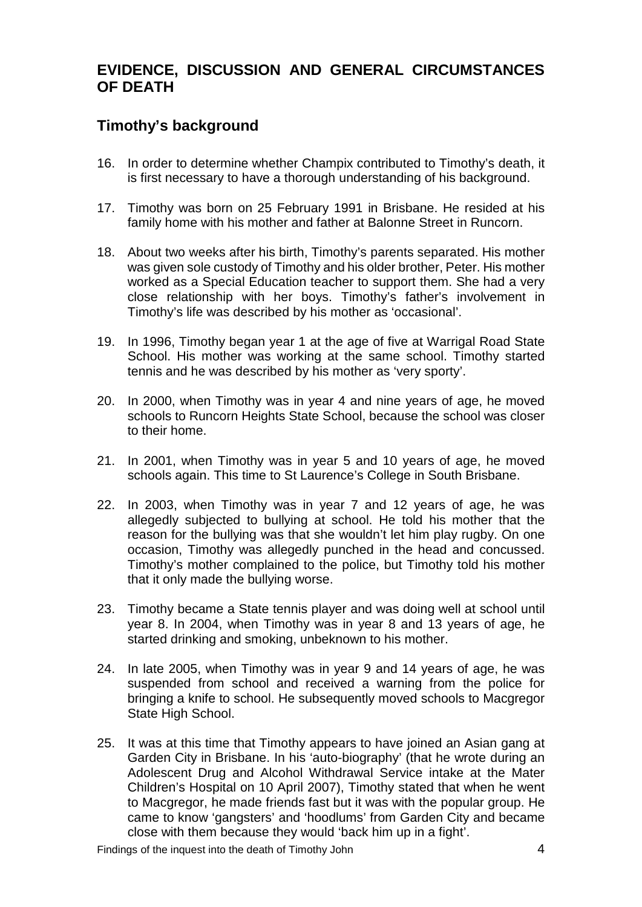## <span id="page-5-0"></span>**EVIDENCE, DISCUSSION AND GENERAL CIRCUMSTANCES OF DEATH**

# <span id="page-5-1"></span>**Timothy's background**

- 16. In order to determine whether Champix contributed to Timothy's death, it is first necessary to have a thorough understanding of his background.
- 17. Timothy was born on 25 February 1991 in Brisbane. He resided at his family home with his mother and father at Balonne Street in Runcorn.
- 18. About two weeks after his birth, Timothy's parents separated. His mother was given sole custody of Timothy and his older brother, Peter. His mother worked as a Special Education teacher to support them. She had a very close relationship with her boys. Timothy's father's involvement in Timothy's life was described by his mother as 'occasional'.
- 19. In 1996, Timothy began year 1 at the age of five at Warrigal Road State School. His mother was working at the same school. Timothy started tennis and he was described by his mother as 'very sporty'.
- 20. In 2000, when Timothy was in year 4 and nine years of age, he moved schools to Runcorn Heights State School, because the school was closer to their home.
- 21. In 2001, when Timothy was in year 5 and 10 years of age, he moved schools again. This time to St Laurence's College in South Brisbane.
- 22. In 2003, when Timothy was in year 7 and 12 years of age, he was allegedly subjected to bullying at school. He told his mother that the reason for the bullying was that she wouldn't let him play rugby. On one occasion, Timothy was allegedly punched in the head and concussed. Timothy's mother complained to the police, but Timothy told his mother that it only made the bullying worse.
- 23. Timothy became a State tennis player and was doing well at school until year 8. In 2004, when Timothy was in year 8 and 13 years of age, he started drinking and smoking, unbeknown to his mother.
- 24. In late 2005, when Timothy was in year 9 and 14 years of age, he was suspended from school and received a warning from the police for bringing a knife to school. He subsequently moved schools to Macgregor State High School.
- 25. It was at this time that Timothy appears to have joined an Asian gang at Garden City in Brisbane. In his 'auto-biography' (that he wrote during an Adolescent Drug and Alcohol Withdrawal Service intake at the Mater Children's Hospital on 10 April 2007), Timothy stated that when he went to Macgregor, he made friends fast but it was with the popular group. He came to know 'gangsters' and 'hoodlums' from Garden City and became close with them because they would 'back him up in a fight'.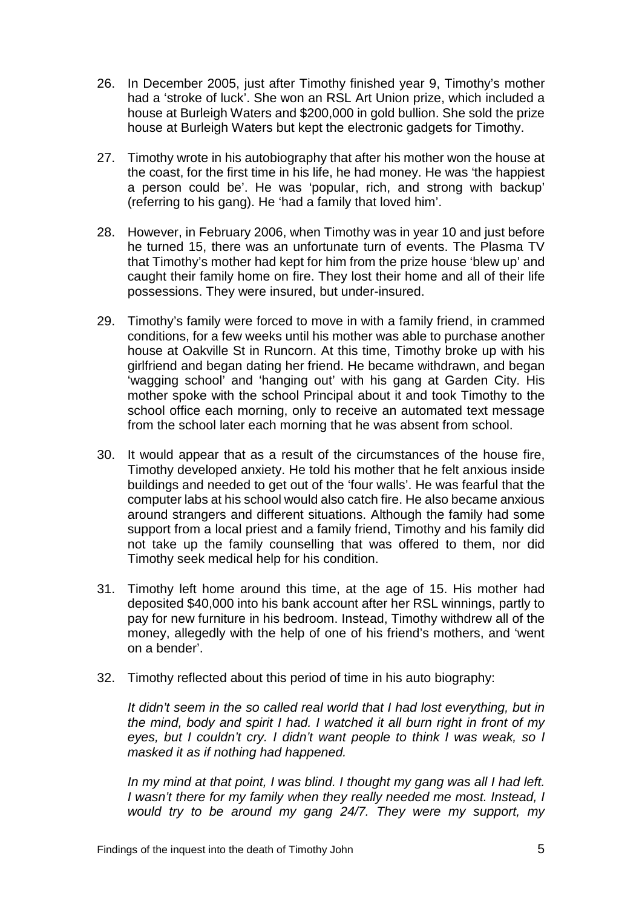- 26. In December 2005, just after Timothy finished year 9, Timothy's mother had a 'stroke of luck'. She won an RSL Art Union prize, which included a house at Burleigh Waters and \$200,000 in gold bullion. She sold the prize house at Burleigh Waters but kept the electronic gadgets for Timothy.
- 27. Timothy wrote in his autobiography that after his mother won the house at the coast, for the first time in his life, he had money. He was 'the happiest a person could be'. He was 'popular, rich, and strong with backup' (referring to his gang). He 'had a family that loved him'.
- 28. However, in February 2006, when Timothy was in year 10 and just before he turned 15, there was an unfortunate turn of events. The Plasma TV that Timothy's mother had kept for him from the prize house 'blew up' and caught their family home on fire. They lost their home and all of their life possessions. They were insured, but under-insured.
- 29. Timothy's family were forced to move in with a family friend, in crammed conditions, for a few weeks until his mother was able to purchase another house at Oakville St in Runcorn. At this time, Timothy broke up with his girlfriend and began dating her friend. He became withdrawn, and began 'wagging school' and 'hanging out' with his gang at Garden City. His mother spoke with the school Principal about it and took Timothy to the school office each morning, only to receive an automated text message from the school later each morning that he was absent from school.
- 30. It would appear that as a result of the circumstances of the house fire, Timothy developed anxiety. He told his mother that he felt anxious inside buildings and needed to get out of the 'four walls'. He was fearful that the computer labs at his school would also catch fire. He also became anxious around strangers and different situations. Although the family had some support from a local priest and a family friend, Timothy and his family did not take up the family counselling that was offered to them, nor did Timothy seek medical help for his condition.
- 31. Timothy left home around this time, at the age of 15. His mother had deposited \$40,000 into his bank account after her RSL winnings, partly to pay for new furniture in his bedroom. Instead, Timothy withdrew all of the money, allegedly with the help of one of his friend's mothers, and 'went on a bender'.
- 32. Timothy reflected about this period of time in his auto biography:

*It didn't seem in the so called real world that I had lost everything, but in the mind, body and spirit I had. I watched it all burn right in front of my eyes, but I couldn't cry. I didn't want people to think I was weak, so I masked it as if nothing had happened.* 

*In my mind at that point, I was blind. I thought my gang was all I had left. I* wasn't there for my family when they really needed me most. Instead, I *would try to be around my gang 24/7. They were my support, my*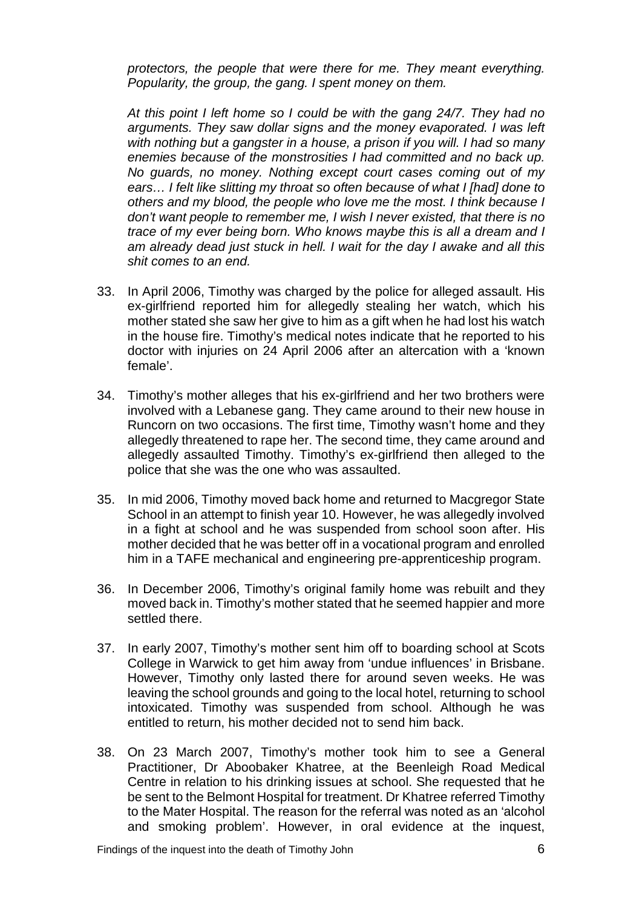*protectors, the people that were there for me. They meant everything. Popularity, the group, the gang. I spent money on them.* 

*At this point I left home so I could be with the gang 24/7. They had no arguments. They saw dollar signs and the money evaporated. I was left with nothing but a gangster in a house, a prison if you will. I had so many enemies because of the monstrosities I had committed and no back up. No guards, no money. Nothing except court cases coming out of my ears… I felt like slitting my throat so often because of what I [had] done to others and my blood, the people who love me the most. I think because I don't want people to remember me, I wish I never existed, that there is no trace of my ever being born. Who knows maybe this is all a dream and I am already dead just stuck in hell. I wait for the day I awake and all this shit comes to an end.*

- 33. In April 2006, Timothy was charged by the police for alleged assault. His ex-girlfriend reported him for allegedly stealing her watch, which his mother stated she saw her give to him as a gift when he had lost his watch in the house fire. Timothy's medical notes indicate that he reported to his doctor with injuries on 24 April 2006 after an altercation with a 'known female'.
- 34. Timothy's mother alleges that his ex-girlfriend and her two brothers were involved with a Lebanese gang. They came around to their new house in Runcorn on two occasions. The first time, Timothy wasn't home and they allegedly threatened to rape her. The second time, they came around and allegedly assaulted Timothy. Timothy's ex-girlfriend then alleged to the police that she was the one who was assaulted.
- 35. In mid 2006, Timothy moved back home and returned to Macgregor State School in an attempt to finish year 10. However, he was allegedly involved in a fight at school and he was suspended from school soon after. His mother decided that he was better off in a vocational program and enrolled him in a TAFE mechanical and engineering pre-apprenticeship program.
- 36. In December 2006, Timothy's original family home was rebuilt and they moved back in. Timothy's mother stated that he seemed happier and more settled there.
- 37. In early 2007, Timothy's mother sent him off to boarding school at Scots College in Warwick to get him away from 'undue influences' in Brisbane. However, Timothy only lasted there for around seven weeks. He was leaving the school grounds and going to the local hotel, returning to school intoxicated. Timothy was suspended from school. Although he was entitled to return, his mother decided not to send him back.
- 38. On 23 March 2007, Timothy's mother took him to see a General Practitioner, Dr Aboobaker Khatree, at the Beenleigh Road Medical Centre in relation to his drinking issues at school. She requested that he be sent to the Belmont Hospital for treatment. Dr Khatree referred Timothy to the Mater Hospital. The reason for the referral was noted as an 'alcohol and smoking problem'. However, in oral evidence at the inquest,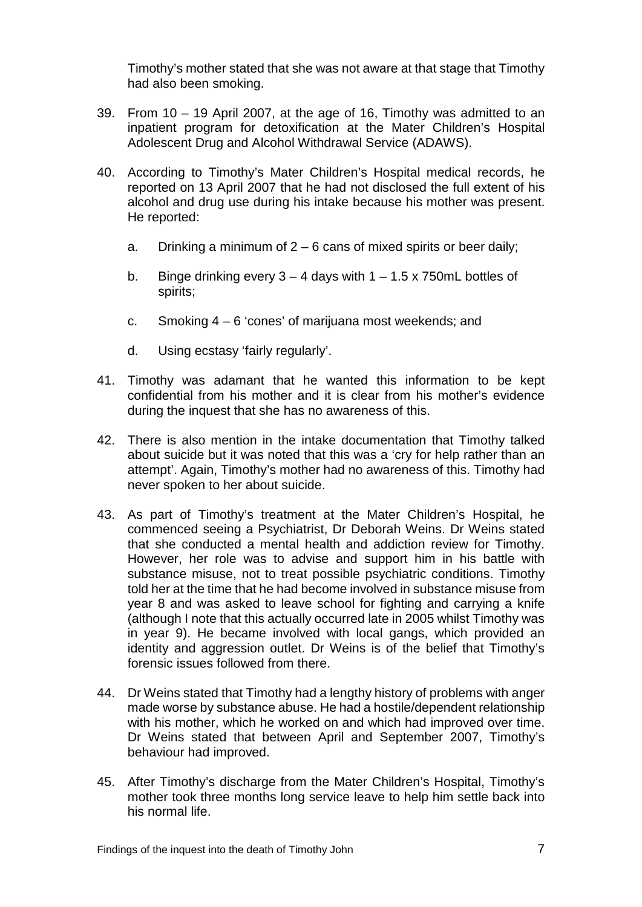Timothy's mother stated that she was not aware at that stage that Timothy had also been smoking.

- 39. From 10 19 April 2007, at the age of 16, Timothy was admitted to an inpatient program for detoxification at the Mater Children's Hospital Adolescent Drug and Alcohol Withdrawal Service (ADAWS).
- 40. According to Timothy's Mater Children's Hospital medical records, he reported on 13 April 2007 that he had not disclosed the full extent of his alcohol and drug use during his intake because his mother was present. He reported:
	- a. Drinking a minimum of  $2 6$  cans of mixed spirits or beer daily;
	- b. Binge drinking every  $3 4$  days with  $1 1.5 \times 750$  mL bottles of spirits;
	- c. Smoking 4 6 'cones' of marijuana most weekends; and
	- d. Using ecstasy 'fairly regularly'.
- 41. Timothy was adamant that he wanted this information to be kept confidential from his mother and it is clear from his mother's evidence during the inquest that she has no awareness of this.
- 42. There is also mention in the intake documentation that Timothy talked about suicide but it was noted that this was a 'cry for help rather than an attempt'. Again, Timothy's mother had no awareness of this. Timothy had never spoken to her about suicide.
- 43. As part of Timothy's treatment at the Mater Children's Hospital, he commenced seeing a Psychiatrist, Dr Deborah Weins. Dr Weins stated that she conducted a mental health and addiction review for Timothy. However, her role was to advise and support him in his battle with substance misuse, not to treat possible psychiatric conditions. Timothy told her at the time that he had become involved in substance misuse from year 8 and was asked to leave school for fighting and carrying a knife (although I note that this actually occurred late in 2005 whilst Timothy was in year 9). He became involved with local gangs, which provided an identity and aggression outlet. Dr Weins is of the belief that Timothy's forensic issues followed from there.
- 44. Dr Weins stated that Timothy had a lengthy history of problems with anger made worse by substance abuse. He had a hostile/dependent relationship with his mother, which he worked on and which had improved over time. Dr Weins stated that between April and September 2007, Timothy's behaviour had improved.
- 45. After Timothy's discharge from the Mater Children's Hospital, Timothy's mother took three months long service leave to help him settle back into his normal life.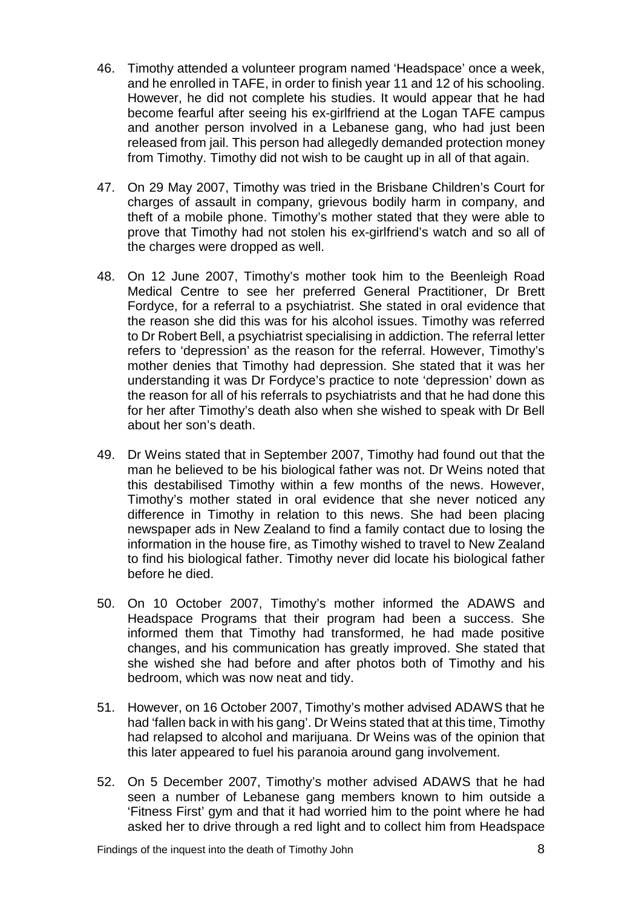- 46. Timothy attended a volunteer program named 'Headspace' once a week, and he enrolled in TAFE, in order to finish year 11 and 12 of his schooling. However, he did not complete his studies. It would appear that he had become fearful after seeing his ex-girlfriend at the Logan TAFE campus and another person involved in a Lebanese gang, who had just been released from jail. This person had allegedly demanded protection money from Timothy. Timothy did not wish to be caught up in all of that again.
- 47. On 29 May 2007, Timothy was tried in the Brisbane Children's Court for charges of assault in company, grievous bodily harm in company, and theft of a mobile phone. Timothy's mother stated that they were able to prove that Timothy had not stolen his ex-girlfriend's watch and so all of the charges were dropped as well.
- 48. On 12 June 2007, Timothy's mother took him to the Beenleigh Road Medical Centre to see her preferred General Practitioner, Dr Brett Fordyce, for a referral to a psychiatrist. She stated in oral evidence that the reason she did this was for his alcohol issues. Timothy was referred to Dr Robert Bell, a psychiatrist specialising in addiction. The referral letter refers to 'depression' as the reason for the referral. However, Timothy's mother denies that Timothy had depression. She stated that it was her understanding it was Dr Fordyce's practice to note 'depression' down as the reason for all of his referrals to psychiatrists and that he had done this for her after Timothy's death also when she wished to speak with Dr Bell about her son's death.
- 49. Dr Weins stated that in September 2007, Timothy had found out that the man he believed to be his biological father was not. Dr Weins noted that this destabilised Timothy within a few months of the news. However, Timothy's mother stated in oral evidence that she never noticed any difference in Timothy in relation to this news. She had been placing newspaper ads in New Zealand to find a family contact due to losing the information in the house fire, as Timothy wished to travel to New Zealand to find his biological father. Timothy never did locate his biological father before he died.
- 50. On 10 October 2007, Timothy's mother informed the ADAWS and Headspace Programs that their program had been a success. She informed them that Timothy had transformed, he had made positive changes, and his communication has greatly improved. She stated that she wished she had before and after photos both of Timothy and his bedroom, which was now neat and tidy.
- 51. However, on 16 October 2007, Timothy's mother advised ADAWS that he had 'fallen back in with his gang'. Dr Weins stated that at this time, Timothy had relapsed to alcohol and marijuana. Dr Weins was of the opinion that this later appeared to fuel his paranoia around gang involvement.
- 52. On 5 December 2007, Timothy's mother advised ADAWS that he had seen a number of Lebanese gang members known to him outside a 'Fitness First' gym and that it had worried him to the point where he had asked her to drive through a red light and to collect him from Headspace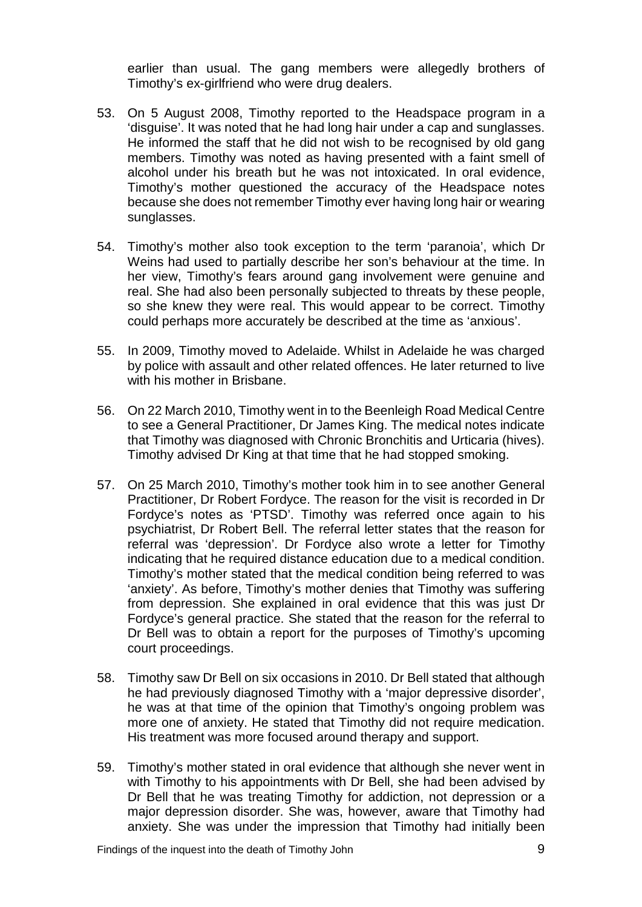earlier than usual. The gang members were allegedly brothers of Timothy's ex-girlfriend who were drug dealers.

- 53. On 5 August 2008, Timothy reported to the Headspace program in a 'disguise'. It was noted that he had long hair under a cap and sunglasses. He informed the staff that he did not wish to be recognised by old gang members. Timothy was noted as having presented with a faint smell of alcohol under his breath but he was not intoxicated. In oral evidence, Timothy's mother questioned the accuracy of the Headspace notes because she does not remember Timothy ever having long hair or wearing sunglasses.
- 54. Timothy's mother also took exception to the term 'paranoia', which Dr Weins had used to partially describe her son's behaviour at the time. In her view, Timothy's fears around gang involvement were genuine and real. She had also been personally subjected to threats by these people, so she knew they were real. This would appear to be correct. Timothy could perhaps more accurately be described at the time as 'anxious'.
- 55. In 2009, Timothy moved to Adelaide. Whilst in Adelaide he was charged by police with assault and other related offences. He later returned to live with his mother in Brisbane.
- 56. On 22 March 2010, Timothy went in to the Beenleigh Road Medical Centre to see a General Practitioner, Dr James King. The medical notes indicate that Timothy was diagnosed with Chronic Bronchitis and Urticaria (hives). Timothy advised Dr King at that time that he had stopped smoking.
- 57. On 25 March 2010, Timothy's mother took him in to see another General Practitioner, Dr Robert Fordyce. The reason for the visit is recorded in Dr Fordyce's notes as 'PTSD'. Timothy was referred once again to his psychiatrist, Dr Robert Bell. The referral letter states that the reason for referral was 'depression'. Dr Fordyce also wrote a letter for Timothy indicating that he required distance education due to a medical condition. Timothy's mother stated that the medical condition being referred to was 'anxiety'. As before, Timothy's mother denies that Timothy was suffering from depression. She explained in oral evidence that this was just Dr Fordyce's general practice. She stated that the reason for the referral to Dr Bell was to obtain a report for the purposes of Timothy's upcoming court proceedings.
- 58. Timothy saw Dr Bell on six occasions in 2010. Dr Bell stated that although he had previously diagnosed Timothy with a 'major depressive disorder', he was at that time of the opinion that Timothy's ongoing problem was more one of anxiety. He stated that Timothy did not require medication. His treatment was more focused around therapy and support.
- 59. Timothy's mother stated in oral evidence that although she never went in with Timothy to his appointments with Dr Bell, she had been advised by Dr Bell that he was treating Timothy for addiction, not depression or a major depression disorder. She was, however, aware that Timothy had anxiety. She was under the impression that Timothy had initially been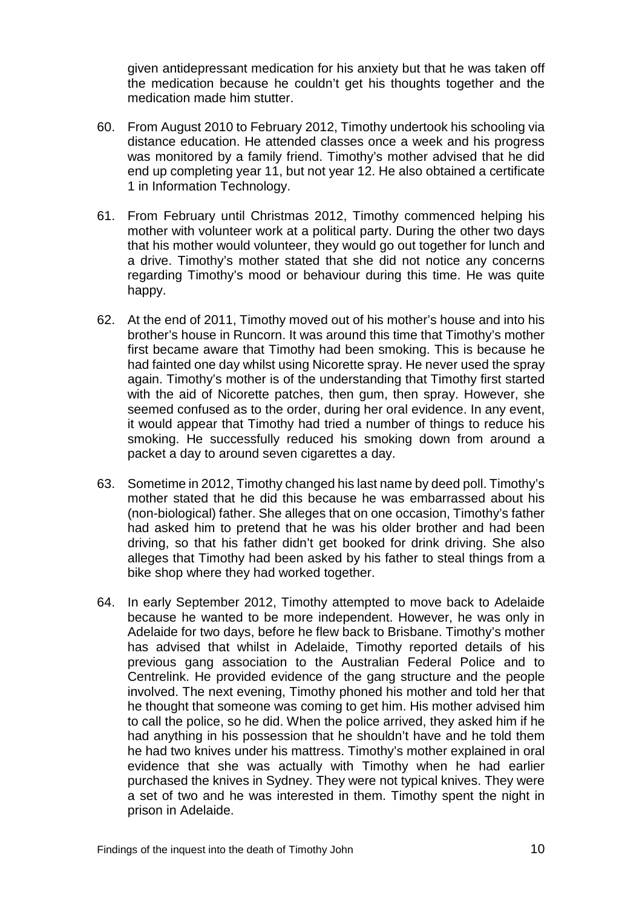given antidepressant medication for his anxiety but that he was taken off the medication because he couldn't get his thoughts together and the medication made him stutter.

- 60. From August 2010 to February 2012, Timothy undertook his schooling via distance education. He attended classes once a week and his progress was monitored by a family friend. Timothy's mother advised that he did end up completing year 11, but not year 12. He also obtained a certificate 1 in Information Technology.
- 61. From February until Christmas 2012, Timothy commenced helping his mother with volunteer work at a political party. During the other two days that his mother would volunteer, they would go out together for lunch and a drive. Timothy's mother stated that she did not notice any concerns regarding Timothy's mood or behaviour during this time. He was quite happy.
- 62. At the end of 2011, Timothy moved out of his mother's house and into his brother's house in Runcorn. It was around this time that Timothy's mother first became aware that Timothy had been smoking. This is because he had fainted one day whilst using Nicorette spray. He never used the spray again. Timothy's mother is of the understanding that Timothy first started with the aid of Nicorette patches, then gum, then spray. However, she seemed confused as to the order, during her oral evidence. In any event, it would appear that Timothy had tried a number of things to reduce his smoking. He successfully reduced his smoking down from around a packet a day to around seven cigarettes a day.
- 63. Sometime in 2012, Timothy changed his last name by deed poll. Timothy's mother stated that he did this because he was embarrassed about his (non-biological) father. She alleges that on one occasion, Timothy's father had asked him to pretend that he was his older brother and had been driving, so that his father didn't get booked for drink driving. She also alleges that Timothy had been asked by his father to steal things from a bike shop where they had worked together.
- 64. In early September 2012, Timothy attempted to move back to Adelaide because he wanted to be more independent. However, he was only in Adelaide for two days, before he flew back to Brisbane. Timothy's mother has advised that whilst in Adelaide, Timothy reported details of his previous gang association to the Australian Federal Police and to Centrelink. He provided evidence of the gang structure and the people involved. The next evening, Timothy phoned his mother and told her that he thought that someone was coming to get him. His mother advised him to call the police, so he did. When the police arrived, they asked him if he had anything in his possession that he shouldn't have and he told them he had two knives under his mattress. Timothy's mother explained in oral evidence that she was actually with Timothy when he had earlier purchased the knives in Sydney. They were not typical knives. They were a set of two and he was interested in them. Timothy spent the night in prison in Adelaide.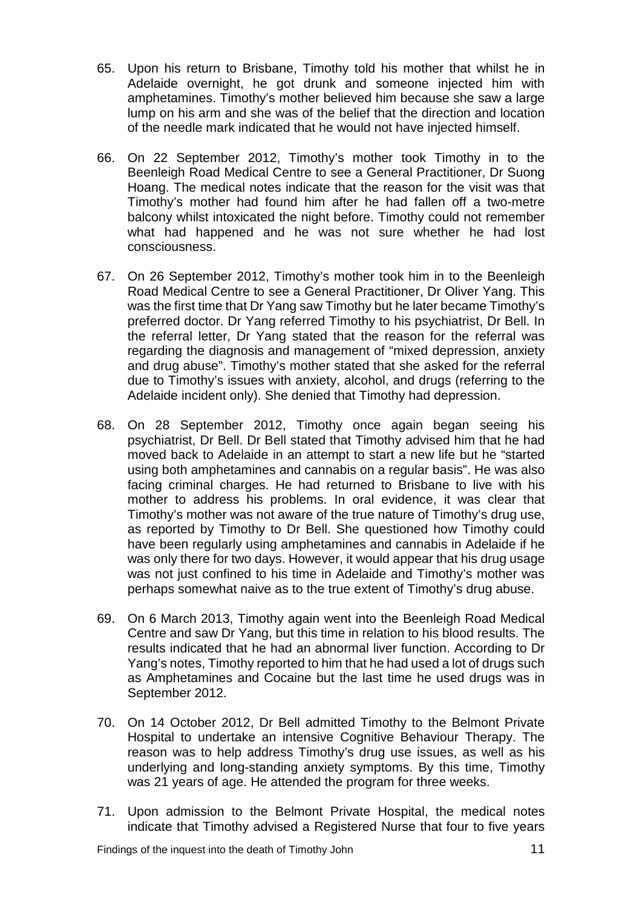- 65. Upon his return to Brisbane, Timothy told his mother that whilst he in Adelaide overnight, he got drunk and someone injected him with amphetamines. Timothy's mother believed him because she saw a large lump on his arm and she was of the belief that the direction and location of the needle mark indicated that he would not have injected himself.
- 66. On 22 September 2012, Timothy's mother took Timothy in to the Beenleigh Road Medical Centre to see a General Practitioner, Dr Suong Hoang. The medical notes indicate that the reason for the visit was that Timothy's mother had found him after he had fallen off a two-metre balcony whilst intoxicated the night before. Timothy could not remember what had happened and he was not sure whether he had lost consciousness.
- 67. On 26 September 2012, Timothy's mother took him in to the Beenleigh Road Medical Centre to see a General Practitioner, Dr Oliver Yang. This was the first time that Dr Yang saw Timothy but he later became Timothy's preferred doctor. Dr Yang referred Timothy to his psychiatrist, Dr Bell. In the referral letter, Dr Yang stated that the reason for the referral was regarding the diagnosis and management of "mixed depression, anxiety and drug abuse". Timothy's mother stated that she asked for the referral due to Timothy's issues with anxiety, alcohol, and drugs (referring to the Adelaide incident only). She denied that Timothy had depression.
- 68. On 28 September 2012, Timothy once again began seeing his psychiatrist, Dr Bell. Dr Bell stated that Timothy advised him that he had moved back to Adelaide in an attempt to start a new life but he "started using both amphetamines and cannabis on a regular basis". He was also facing criminal charges. He had returned to Brisbane to live with his mother to address his problems. In oral evidence, it was clear that Timothy's mother was not aware of the true nature of Timothy's drug use, as reported by Timothy to Dr Bell. She questioned how Timothy could have been regularly using amphetamines and cannabis in Adelaide if he was only there for two days. However, it would appear that his drug usage was not just confined to his time in Adelaide and Timothy's mother was perhaps somewhat naive as to the true extent of Timothy's drug abuse.
- 69. On 6 March 2013, Timothy again went into the Beenleigh Road Medical Centre and saw Dr Yang, but this time in relation to his blood results. The results indicated that he had an abnormal liver function. According to Dr Yang's notes, Timothy reported to him that he had used a lot of drugs such as Amphetamines and Cocaine but the last time he used drugs was in September 2012.
- 70. On 14 October 2012, Dr Bell admitted Timothy to the Belmont Private Hospital to undertake an intensive Cognitive Behaviour Therapy. The reason was to help address Timothy's drug use issues, as well as his underlying and long-standing anxiety symptoms. By this time, Timothy was 21 years of age. He attended the program for three weeks.
- 71. Upon admission to the Belmont Private Hospital, the medical notes indicate that Timothy advised a Registered Nurse that four to five years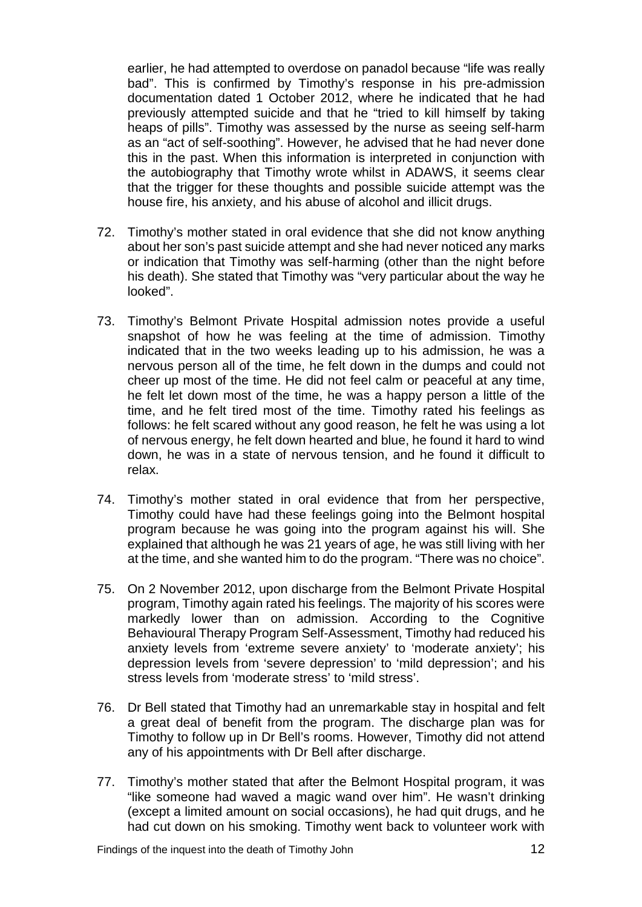earlier, he had attempted to overdose on panadol because "life was really bad". This is confirmed by Timothy's response in his pre-admission documentation dated 1 October 2012, where he indicated that he had previously attempted suicide and that he "tried to kill himself by taking heaps of pills". Timothy was assessed by the nurse as seeing self-harm as an "act of self-soothing". However, he advised that he had never done this in the past. When this information is interpreted in conjunction with the autobiography that Timothy wrote whilst in ADAWS, it seems clear that the trigger for these thoughts and possible suicide attempt was the house fire, his anxiety, and his abuse of alcohol and illicit drugs.

- 72. Timothy's mother stated in oral evidence that she did not know anything about her son's past suicide attempt and she had never noticed any marks or indication that Timothy was self-harming (other than the night before his death). She stated that Timothy was "very particular about the way he looked".
- 73. Timothy's Belmont Private Hospital admission notes provide a useful snapshot of how he was feeling at the time of admission. Timothy indicated that in the two weeks leading up to his admission, he was a nervous person all of the time, he felt down in the dumps and could not cheer up most of the time. He did not feel calm or peaceful at any time, he felt let down most of the time, he was a happy person a little of the time, and he felt tired most of the time. Timothy rated his feelings as follows: he felt scared without any good reason, he felt he was using a lot of nervous energy, he felt down hearted and blue, he found it hard to wind down, he was in a state of nervous tension, and he found it difficult to relax.
- 74. Timothy's mother stated in oral evidence that from her perspective, Timothy could have had these feelings going into the Belmont hospital program because he was going into the program against his will. She explained that although he was 21 years of age, he was still living with her at the time, and she wanted him to do the program. "There was no choice".
- 75. On 2 November 2012, upon discharge from the Belmont Private Hospital program, Timothy again rated his feelings. The majority of his scores were markedly lower than on admission. According to the Cognitive Behavioural Therapy Program Self-Assessment, Timothy had reduced his anxiety levels from 'extreme severe anxiety' to 'moderate anxiety'; his depression levels from 'severe depression' to 'mild depression'; and his stress levels from 'moderate stress' to 'mild stress'.
- 76. Dr Bell stated that Timothy had an unremarkable stay in hospital and felt a great deal of benefit from the program. The discharge plan was for Timothy to follow up in Dr Bell's rooms. However, Timothy did not attend any of his appointments with Dr Bell after discharge.
- 77. Timothy's mother stated that after the Belmont Hospital program, it was "like someone had waved a magic wand over him". He wasn't drinking (except a limited amount on social occasions), he had quit drugs, and he had cut down on his smoking. Timothy went back to volunteer work with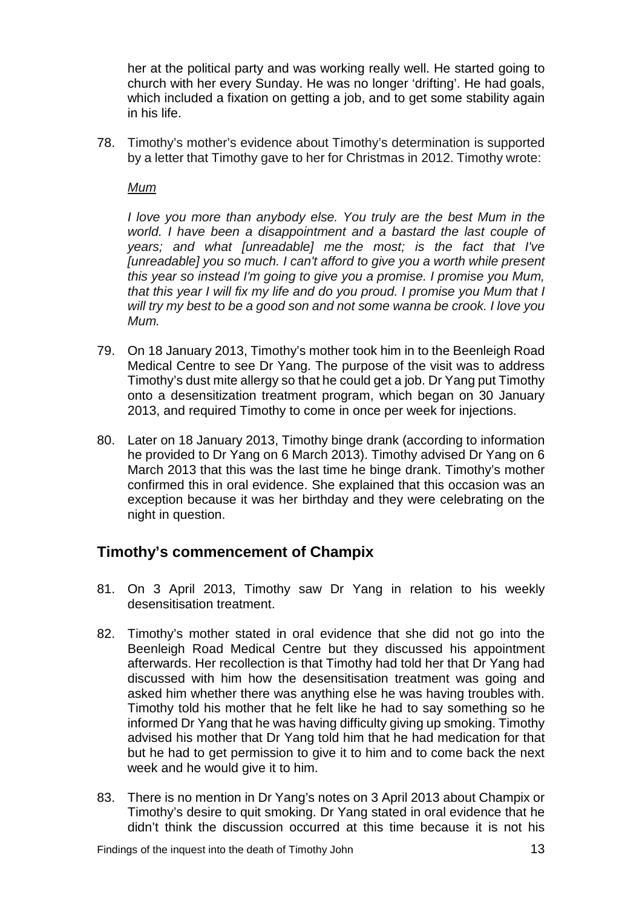her at the political party and was working really well. He started going to church with her every Sunday. He was no longer 'drifting'. He had goals, which included a fixation on getting a job, and to get some stability again in his life.

78. Timothy's mother's evidence about Timothy's determination is supported by a letter that Timothy gave to her for Christmas in 2012. Timothy wrote:

*Mum*

*I love you more than anybody else. You truly are the best Mum in the world. I have been a disappointment and a bastard the last couple of years; and what [unreadable] me the most; is the fact that I've [unreadable] you so much. I can't afford to give you a worth while present this year so instead I'm going to give you a promise. I promise you Mum, that this year I will fix my life and do you proud. I promise you Mum that I will try my best to be a good son and not some wanna be crook. I love you Mum.*

- 79. On 18 January 2013, Timothy's mother took him in to the Beenleigh Road Medical Centre to see Dr Yang. The purpose of the visit was to address Timothy's dust mite allergy so that he could get a job. Dr Yang put Timothy onto a desensitization treatment program, which began on 30 January 2013, and required Timothy to come in once per week for injections.
- 80. Later on 18 January 2013, Timothy binge drank (according to information he provided to Dr Yang on 6 March 2013). Timothy advised Dr Yang on 6 March 2013 that this was the last time he binge drank. Timothy's mother confirmed this in oral evidence. She explained that this occasion was an exception because it was her birthday and they were celebrating on the night in question.

# <span id="page-14-0"></span>**Timothy's commencement of Champix**

- 81. On 3 April 2013, Timothy saw Dr Yang in relation to his weekly desensitisation treatment.
- 82. Timothy's mother stated in oral evidence that she did not go into the Beenleigh Road Medical Centre but they discussed his appointment afterwards. Her recollection is that Timothy had told her that Dr Yang had discussed with him how the desensitisation treatment was going and asked him whether there was anything else he was having troubles with. Timothy told his mother that he felt like he had to say something so he informed Dr Yang that he was having difficulty giving up smoking. Timothy advised his mother that Dr Yang told him that he had medication for that but he had to get permission to give it to him and to come back the next week and he would give it to him.
- 83. There is no mention in Dr Yang's notes on 3 April 2013 about Champix or Timothy's desire to quit smoking. Dr Yang stated in oral evidence that he didn't think the discussion occurred at this time because it is not his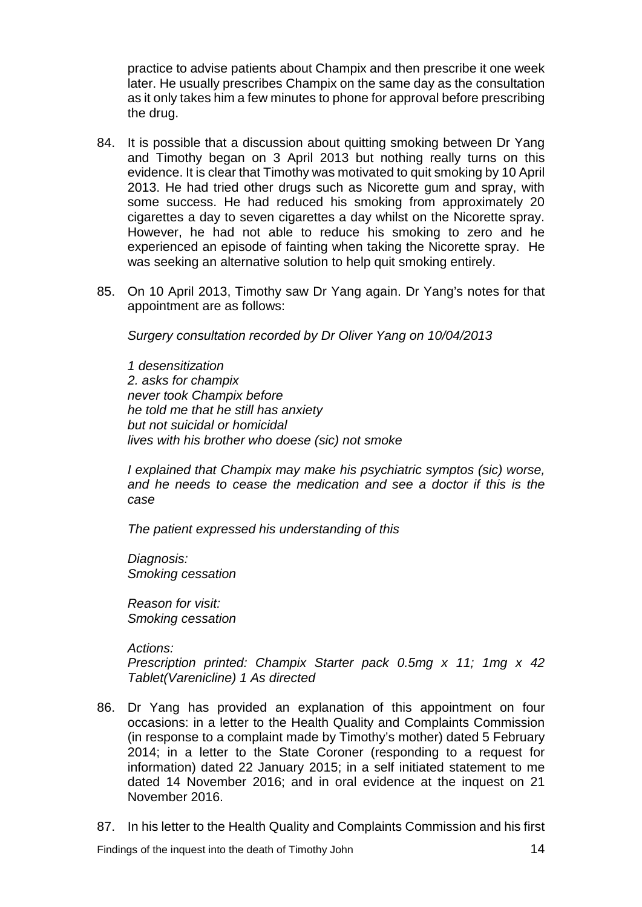practice to advise patients about Champix and then prescribe it one week later. He usually prescribes Champix on the same day as the consultation as it only takes him a few minutes to phone for approval before prescribing the drug.

- 84. It is possible that a discussion about quitting smoking between Dr Yang and Timothy began on 3 April 2013 but nothing really turns on this evidence. It is clear that Timothy was motivated to quit smoking by 10 April 2013. He had tried other drugs such as Nicorette gum and spray, with some success. He had reduced his smoking from approximately 20 cigarettes a day to seven cigarettes a day whilst on the Nicorette spray. However, he had not able to reduce his smoking to zero and he experienced an episode of fainting when taking the Nicorette spray. He was seeking an alternative solution to help quit smoking entirely.
- 85. On 10 April 2013, Timothy saw Dr Yang again. Dr Yang's notes for that appointment are as follows:

*Surgery consultation recorded by Dr Oliver Yang on 10/04/2013*

*1 desensitization 2. asks for champix never took Champix before he told me that he still has anxiety but not suicidal or homicidal lives with his brother who doese (sic) not smoke*

*I explained that Champix may make his psychiatric symptos (sic) worse, and he needs to cease the medication and see a doctor if this is the case*

*The patient expressed his understanding of this* 

*Diagnosis: Smoking cessation*

*Reason for visit: Smoking cessation*

*Actions: Prescription printed: Champix Starter pack 0.5mg x 11; 1mg x 42 Tablet(Varenicline) 1 As directed*

- 86. Dr Yang has provided an explanation of this appointment on four occasions: in a letter to the Health Quality and Complaints Commission (in response to a complaint made by Timothy's mother) dated 5 February 2014; in a letter to the State Coroner (responding to a request for information) dated 22 January 2015; in a self initiated statement to me dated 14 November 2016; and in oral evidence at the inquest on 21 November 2016.
- 87. In his letter to the Health Quality and Complaints Commission and his first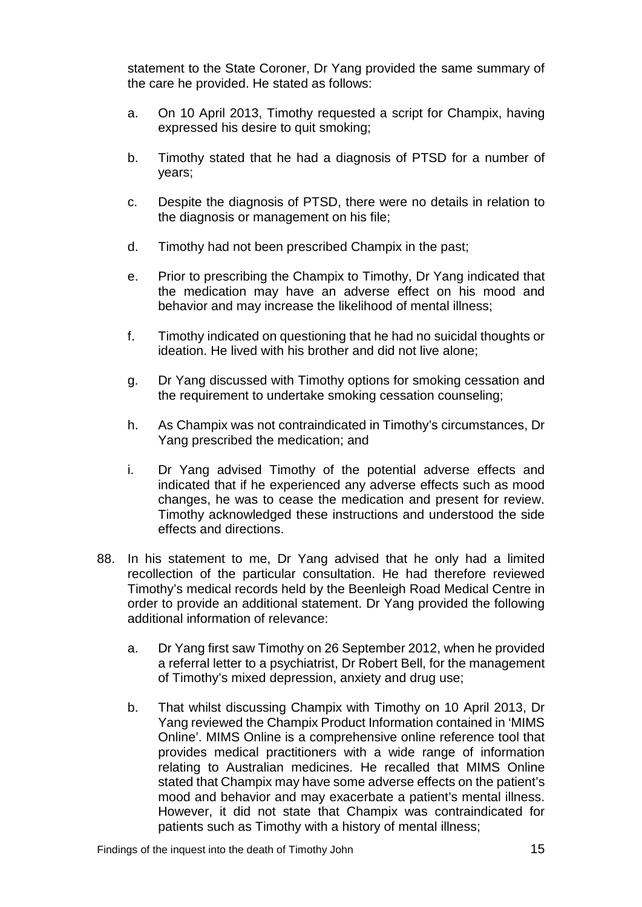statement to the State Coroner, Dr Yang provided the same summary of the care he provided. He stated as follows:

- a. On 10 April 2013, Timothy requested a script for Champix, having expressed his desire to quit smoking;
- b. Timothy stated that he had a diagnosis of PTSD for a number of years;
- c. Despite the diagnosis of PTSD, there were no details in relation to the diagnosis or management on his file;
- d. Timothy had not been prescribed Champix in the past;
- e. Prior to prescribing the Champix to Timothy, Dr Yang indicated that the medication may have an adverse effect on his mood and behavior and may increase the likelihood of mental illness;
- f. Timothy indicated on questioning that he had no suicidal thoughts or ideation. He lived with his brother and did not live alone;
- g. Dr Yang discussed with Timothy options for smoking cessation and the requirement to undertake smoking cessation counseling;
- h. As Champix was not contraindicated in Timothy's circumstances, Dr Yang prescribed the medication; and
- i. Dr Yang advised Timothy of the potential adverse effects and indicated that if he experienced any adverse effects such as mood changes, he was to cease the medication and present for review. Timothy acknowledged these instructions and understood the side effects and directions.
- 88. In his statement to me, Dr Yang advised that he only had a limited recollection of the particular consultation. He had therefore reviewed Timothy's medical records held by the Beenleigh Road Medical Centre in order to provide an additional statement. Dr Yang provided the following additional information of relevance:
	- a. Dr Yang first saw Timothy on 26 September 2012, when he provided a referral letter to a psychiatrist, Dr Robert Bell, for the management of Timothy's mixed depression, anxiety and drug use;
	- b. That whilst discussing Champix with Timothy on 10 April 2013, Dr Yang reviewed the Champix Product Information contained in 'MIMS Online'. MIMS Online is a comprehensive online reference tool that provides medical practitioners with a wide range of information relating to Australian medicines. He recalled that MIMS Online stated that Champix may have some adverse effects on the patient's mood and behavior and may exacerbate a patient's mental illness. However, it did not state that Champix was contraindicated for patients such as Timothy with a history of mental illness;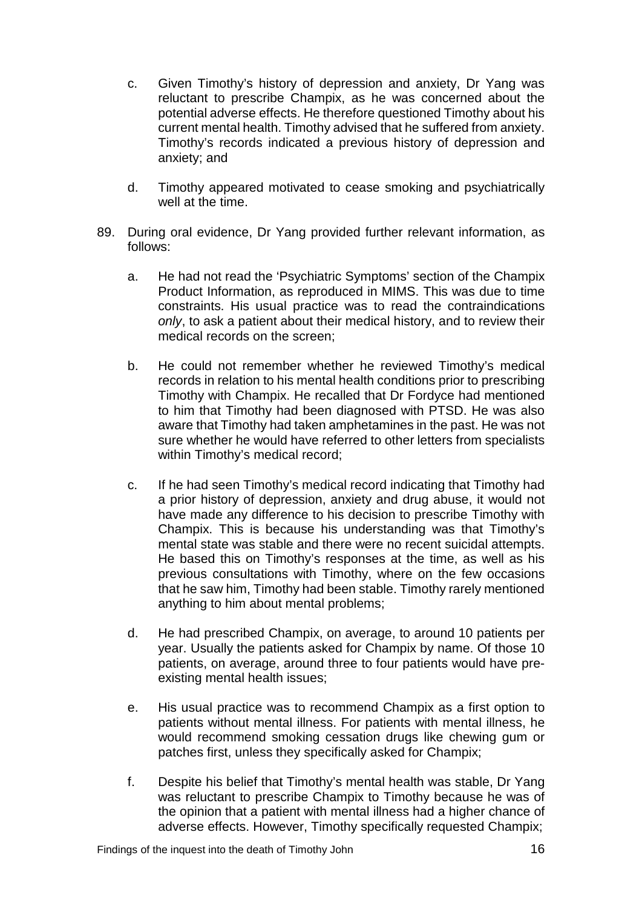- c. Given Timothy's history of depression and anxiety, Dr Yang was reluctant to prescribe Champix, as he was concerned about the potential adverse effects. He therefore questioned Timothy about his current mental health. Timothy advised that he suffered from anxiety. Timothy's records indicated a previous history of depression and anxiety; and
- d. Timothy appeared motivated to cease smoking and psychiatrically well at the time.
- 89. During oral evidence, Dr Yang provided further relevant information, as follows:
	- a. He had not read the 'Psychiatric Symptoms' section of the Champix Product Information, as reproduced in MIMS. This was due to time constraints. His usual practice was to read the contraindications *only*, to ask a patient about their medical history, and to review their medical records on the screen;
	- b. He could not remember whether he reviewed Timothy's medical records in relation to his mental health conditions prior to prescribing Timothy with Champix. He recalled that Dr Fordyce had mentioned to him that Timothy had been diagnosed with PTSD. He was also aware that Timothy had taken amphetamines in the past. He was not sure whether he would have referred to other letters from specialists within Timothy's medical record;
	- c. If he had seen Timothy's medical record indicating that Timothy had a prior history of depression, anxiety and drug abuse, it would not have made any difference to his decision to prescribe Timothy with Champix. This is because his understanding was that Timothy's mental state was stable and there were no recent suicidal attempts. He based this on Timothy's responses at the time, as well as his previous consultations with Timothy, where on the few occasions that he saw him, Timothy had been stable. Timothy rarely mentioned anything to him about mental problems;
	- d. He had prescribed Champix, on average, to around 10 patients per year. Usually the patients asked for Champix by name. Of those 10 patients, on average, around three to four patients would have preexisting mental health issues;
	- e. His usual practice was to recommend Champix as a first option to patients without mental illness. For patients with mental illness, he would recommend smoking cessation drugs like chewing gum or patches first, unless they specifically asked for Champix;
	- f. Despite his belief that Timothy's mental health was stable, Dr Yang was reluctant to prescribe Champix to Timothy because he was of the opinion that a patient with mental illness had a higher chance of adverse effects. However, Timothy specifically requested Champix;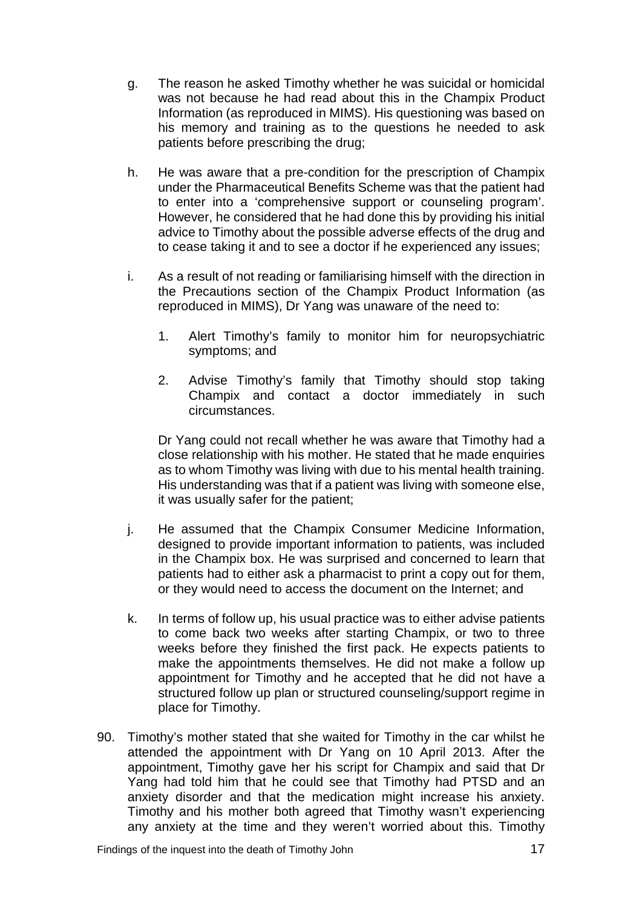- g. The reason he asked Timothy whether he was suicidal or homicidal was not because he had read about this in the Champix Product Information (as reproduced in MIMS). His questioning was based on his memory and training as to the questions he needed to ask patients before prescribing the drug;
- h. He was aware that a pre-condition for the prescription of Champix under the Pharmaceutical Benefits Scheme was that the patient had to enter into a 'comprehensive support or counseling program'. However, he considered that he had done this by providing his initial advice to Timothy about the possible adverse effects of the drug and to cease taking it and to see a doctor if he experienced any issues;
- i. As a result of not reading or familiarising himself with the direction in the Precautions section of the Champix Product Information (as reproduced in MIMS), Dr Yang was unaware of the need to:
	- 1. Alert Timothy's family to monitor him for neuropsychiatric symptoms; and
	- 2. Advise Timothy's family that Timothy should stop taking Champix and contact a doctor immediately in such circumstances.

Dr Yang could not recall whether he was aware that Timothy had a close relationship with his mother. He stated that he made enquiries as to whom Timothy was living with due to his mental health training. His understanding was that if a patient was living with someone else, it was usually safer for the patient;

- j. He assumed that the Champix Consumer Medicine Information, designed to provide important information to patients, was included in the Champix box. He was surprised and concerned to learn that patients had to either ask a pharmacist to print a copy out for them, or they would need to access the document on the Internet; and
- k. In terms of follow up, his usual practice was to either advise patients to come back two weeks after starting Champix, or two to three weeks before they finished the first pack. He expects patients to make the appointments themselves. He did not make a follow up appointment for Timothy and he accepted that he did not have a structured follow up plan or structured counseling/support regime in place for Timothy.
- 90. Timothy's mother stated that she waited for Timothy in the car whilst he attended the appointment with Dr Yang on 10 April 2013. After the appointment, Timothy gave her his script for Champix and said that Dr Yang had told him that he could see that Timothy had PTSD and an anxiety disorder and that the medication might increase his anxiety. Timothy and his mother both agreed that Timothy wasn't experiencing any anxiety at the time and they weren't worried about this. Timothy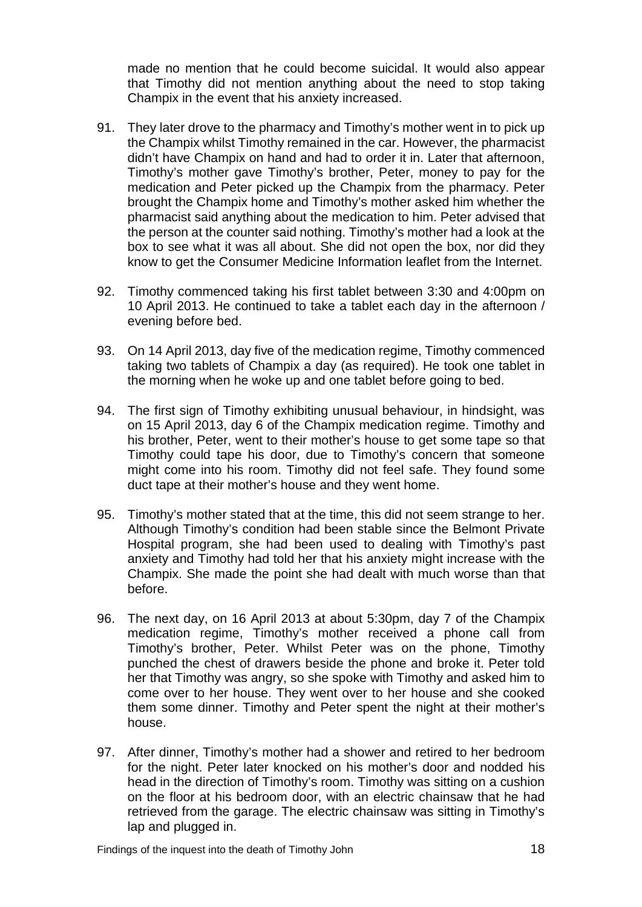made no mention that he could become suicidal. It would also appear that Timothy did not mention anything about the need to stop taking Champix in the event that his anxiety increased.

- 91. They later drove to the pharmacy and Timothy's mother went in to pick up the Champix whilst Timothy remained in the car. However, the pharmacist didn't have Champix on hand and had to order it in. Later that afternoon, Timothy's mother gave Timothy's brother, Peter, money to pay for the medication and Peter picked up the Champix from the pharmacy. Peter brought the Champix home and Timothy's mother asked him whether the pharmacist said anything about the medication to him. Peter advised that the person at the counter said nothing. Timothy's mother had a look at the box to see what it was all about. She did not open the box, nor did they know to get the Consumer Medicine Information leaflet from the Internet.
- 92. Timothy commenced taking his first tablet between 3:30 and 4:00pm on 10 April 2013. He continued to take a tablet each day in the afternoon / evening before bed.
- 93. On 14 April 2013, day five of the medication regime, Timothy commenced taking two tablets of Champix a day (as required). He took one tablet in the morning when he woke up and one tablet before going to bed.
- 94. The first sign of Timothy exhibiting unusual behaviour, in hindsight, was on 15 April 2013, day 6 of the Champix medication regime. Timothy and his brother, Peter, went to their mother's house to get some tape so that Timothy could tape his door, due to Timothy's concern that someone might come into his room. Timothy did not feel safe. They found some duct tape at their mother's house and they went home.
- 95. Timothy's mother stated that at the time, this did not seem strange to her. Although Timothy's condition had been stable since the Belmont Private Hospital program, she had been used to dealing with Timothy's past anxiety and Timothy had told her that his anxiety might increase with the Champix. She made the point she had dealt with much worse than that before.
- 96. The next day, on 16 April 2013 at about 5:30pm, day 7 of the Champix medication regime, Timothy's mother received a phone call from Timothy's brother, Peter. Whilst Peter was on the phone, Timothy punched the chest of drawers beside the phone and broke it. Peter told her that Timothy was angry, so she spoke with Timothy and asked him to come over to her house. They went over to her house and she cooked them some dinner. Timothy and Peter spent the night at their mother's house.
- 97. After dinner, Timothy's mother had a shower and retired to her bedroom for the night. Peter later knocked on his mother's door and nodded his head in the direction of Timothy's room. Timothy was sitting on a cushion on the floor at his bedroom door, with an electric chainsaw that he had retrieved from the garage. The electric chainsaw was sitting in Timothy's lap and plugged in.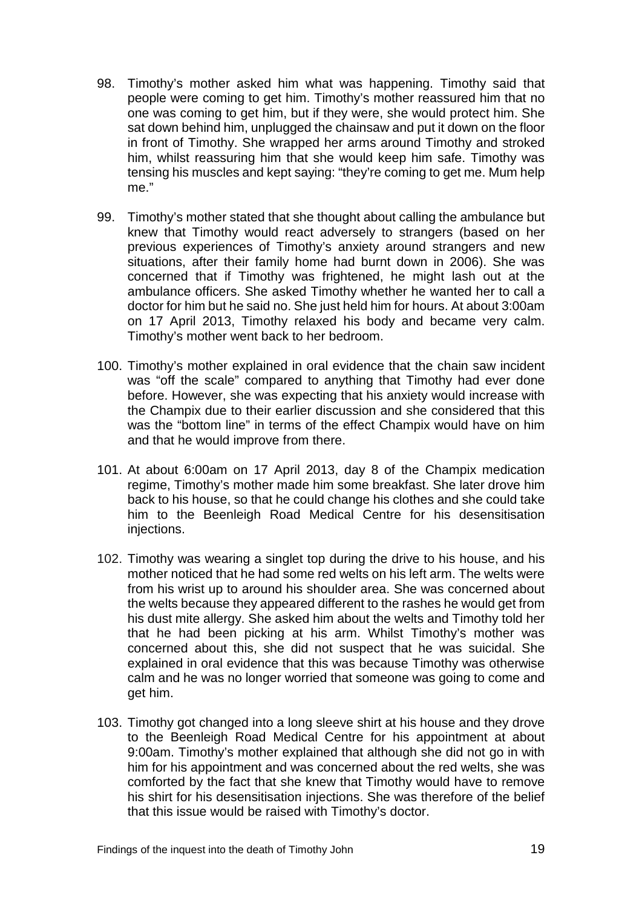- 98. Timothy's mother asked him what was happening. Timothy said that people were coming to get him. Timothy's mother reassured him that no one was coming to get him, but if they were, she would protect him. She sat down behind him, unplugged the chainsaw and put it down on the floor in front of Timothy. She wrapped her arms around Timothy and stroked him, whilst reassuring him that she would keep him safe. Timothy was tensing his muscles and kept saying: "they're coming to get me. Mum help me."
- 99. Timothy's mother stated that she thought about calling the ambulance but knew that Timothy would react adversely to strangers (based on her previous experiences of Timothy's anxiety around strangers and new situations, after their family home had burnt down in 2006). She was concerned that if Timothy was frightened, he might lash out at the ambulance officers. She asked Timothy whether he wanted her to call a doctor for him but he said no. She just held him for hours. At about 3:00am on 17 April 2013, Timothy relaxed his body and became very calm. Timothy's mother went back to her bedroom.
- 100. Timothy's mother explained in oral evidence that the chain saw incident was "off the scale" compared to anything that Timothy had ever done before. However, she was expecting that his anxiety would increase with the Champix due to their earlier discussion and she considered that this was the "bottom line" in terms of the effect Champix would have on him and that he would improve from there.
- 101. At about 6:00am on 17 April 2013, day 8 of the Champix medication regime, Timothy's mother made him some breakfast. She later drove him back to his house, so that he could change his clothes and she could take him to the Beenleigh Road Medical Centre for his desensitisation injections.
- 102. Timothy was wearing a singlet top during the drive to his house, and his mother noticed that he had some red welts on his left arm. The welts were from his wrist up to around his shoulder area. She was concerned about the welts because they appeared different to the rashes he would get from his dust mite allergy. She asked him about the welts and Timothy told her that he had been picking at his arm. Whilst Timothy's mother was concerned about this, she did not suspect that he was suicidal. She explained in oral evidence that this was because Timothy was otherwise calm and he was no longer worried that someone was going to come and get him.
- 103. Timothy got changed into a long sleeve shirt at his house and they drove to the Beenleigh Road Medical Centre for his appointment at about 9:00am. Timothy's mother explained that although she did not go in with him for his appointment and was concerned about the red welts, she was comforted by the fact that she knew that Timothy would have to remove his shirt for his desensitisation injections. She was therefore of the belief that this issue would be raised with Timothy's doctor.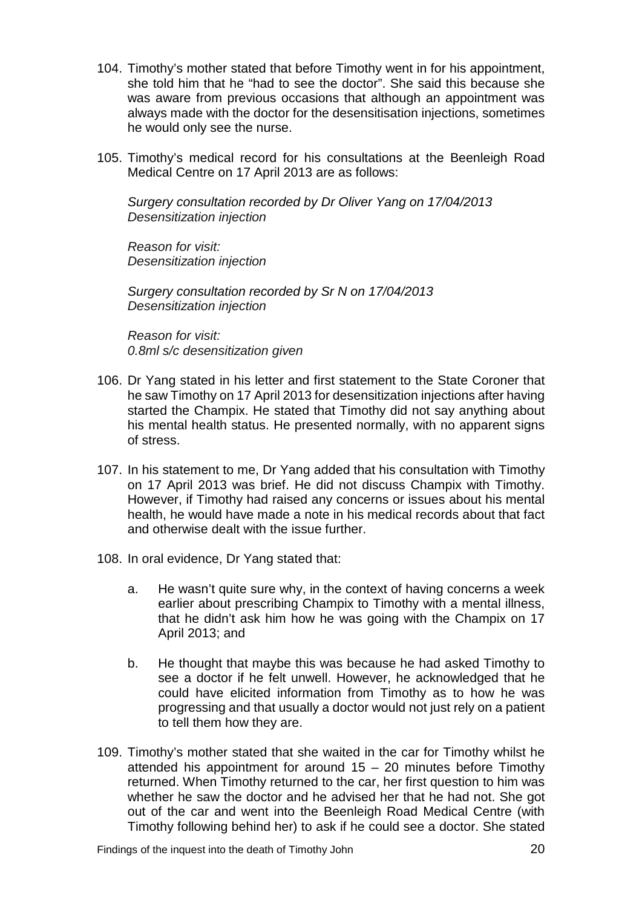- 104. Timothy's mother stated that before Timothy went in for his appointment, she told him that he "had to see the doctor". She said this because she was aware from previous occasions that although an appointment was always made with the doctor for the desensitisation injections, sometimes he would only see the nurse.
- 105. Timothy's medical record for his consultations at the Beenleigh Road Medical Centre on 17 April 2013 are as follows:

*Surgery consultation recorded by Dr Oliver Yang on 17/04/2013 Desensitization injection*

*Reason for visit: Desensitization injection*

*Surgery consultation recorded by Sr N on 17/04/2013 Desensitization injection*

*Reason for visit: 0.8ml s/c desensitization given*

- 106. Dr Yang stated in his letter and first statement to the State Coroner that he saw Timothy on 17 April 2013 for desensitization injections after having started the Champix. He stated that Timothy did not say anything about his mental health status. He presented normally, with no apparent signs of stress.
- 107. In his statement to me, Dr Yang added that his consultation with Timothy on 17 April 2013 was brief. He did not discuss Champix with Timothy. However, if Timothy had raised any concerns or issues about his mental health, he would have made a note in his medical records about that fact and otherwise dealt with the issue further.
- 108. In oral evidence, Dr Yang stated that:
	- a. He wasn't quite sure why, in the context of having concerns a week earlier about prescribing Champix to Timothy with a mental illness, that he didn't ask him how he was going with the Champix on 17 April 2013; and
	- b. He thought that maybe this was because he had asked Timothy to see a doctor if he felt unwell. However, he acknowledged that he could have elicited information from Timothy as to how he was progressing and that usually a doctor would not just rely on a patient to tell them how they are.
- 109. Timothy's mother stated that she waited in the car for Timothy whilst he attended his appointment for around  $15 - 20$  minutes before Timothy returned. When Timothy returned to the car, her first question to him was whether he saw the doctor and he advised her that he had not. She got out of the car and went into the Beenleigh Road Medical Centre (with Timothy following behind her) to ask if he could see a doctor. She stated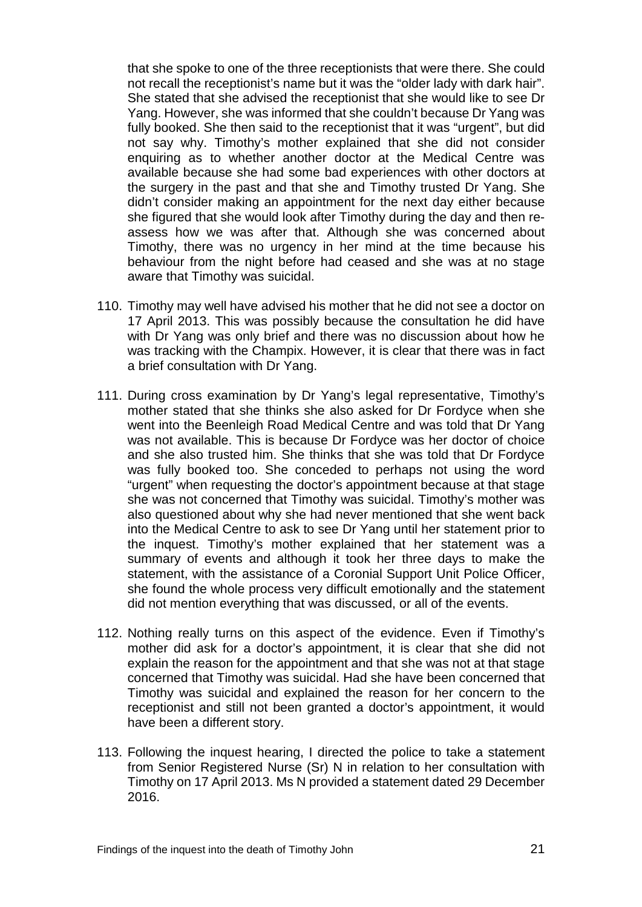that she spoke to one of the three receptionists that were there. She could not recall the receptionist's name but it was the "older lady with dark hair". She stated that she advised the receptionist that she would like to see Dr Yang. However, she was informed that she couldn't because Dr Yang was fully booked. She then said to the receptionist that it was "urgent", but did not say why. Timothy's mother explained that she did not consider enquiring as to whether another doctor at the Medical Centre was available because she had some bad experiences with other doctors at the surgery in the past and that she and Timothy trusted Dr Yang. She didn't consider making an appointment for the next day either because she figured that she would look after Timothy during the day and then reassess how we was after that. Although she was concerned about Timothy, there was no urgency in her mind at the time because his behaviour from the night before had ceased and she was at no stage aware that Timothy was suicidal.

- 110. Timothy may well have advised his mother that he did not see a doctor on 17 April 2013. This was possibly because the consultation he did have with Dr Yang was only brief and there was no discussion about how he was tracking with the Champix. However, it is clear that there was in fact a brief consultation with Dr Yang.
- 111. During cross examination by Dr Yang's legal representative, Timothy's mother stated that she thinks she also asked for Dr Fordyce when she went into the Beenleigh Road Medical Centre and was told that Dr Yang was not available. This is because Dr Fordyce was her doctor of choice and she also trusted him. She thinks that she was told that Dr Fordyce was fully booked too. She conceded to perhaps not using the word "urgent" when requesting the doctor's appointment because at that stage she was not concerned that Timothy was suicidal. Timothy's mother was also questioned about why she had never mentioned that she went back into the Medical Centre to ask to see Dr Yang until her statement prior to the inquest. Timothy's mother explained that her statement was a summary of events and although it took her three days to make the statement, with the assistance of a Coronial Support Unit Police Officer, she found the whole process very difficult emotionally and the statement did not mention everything that was discussed, or all of the events.
- 112. Nothing really turns on this aspect of the evidence. Even if Timothy's mother did ask for a doctor's appointment, it is clear that she did not explain the reason for the appointment and that she was not at that stage concerned that Timothy was suicidal. Had she have been concerned that Timothy was suicidal and explained the reason for her concern to the receptionist and still not been granted a doctor's appointment, it would have been a different story.
- 113. Following the inquest hearing, I directed the police to take a statement from Senior Registered Nurse (Sr) N in relation to her consultation with Timothy on 17 April 2013. Ms N provided a statement dated 29 December 2016.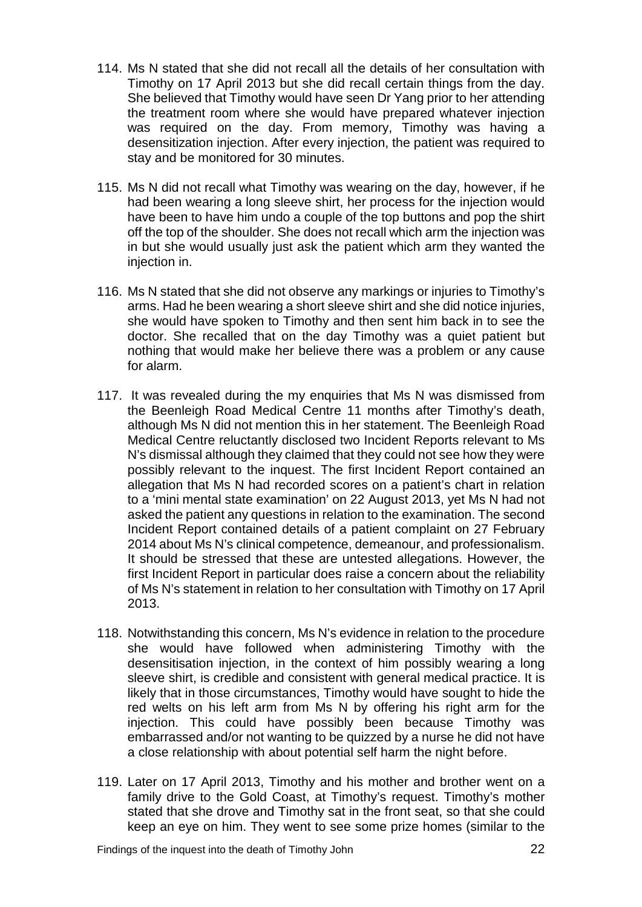- 114. Ms N stated that she did not recall all the details of her consultation with Timothy on 17 April 2013 but she did recall certain things from the day. She believed that Timothy would have seen Dr Yang prior to her attending the treatment room where she would have prepared whatever injection was required on the day. From memory, Timothy was having a desensitization injection. After every injection, the patient was required to stay and be monitored for 30 minutes.
- 115. Ms N did not recall what Timothy was wearing on the day, however, if he had been wearing a long sleeve shirt, her process for the injection would have been to have him undo a couple of the top buttons and pop the shirt off the top of the shoulder. She does not recall which arm the injection was in but she would usually just ask the patient which arm they wanted the injection in.
- 116. Ms N stated that she did not observe any markings or injuries to Timothy's arms. Had he been wearing a short sleeve shirt and she did notice injuries, she would have spoken to Timothy and then sent him back in to see the doctor. She recalled that on the day Timothy was a quiet patient but nothing that would make her believe there was a problem or any cause for alarm.
- 117. It was revealed during the my enquiries that Ms N was dismissed from the Beenleigh Road Medical Centre 11 months after Timothy's death, although Ms N did not mention this in her statement. The Beenleigh Road Medical Centre reluctantly disclosed two Incident Reports relevant to Ms N's dismissal although they claimed that they could not see how they were possibly relevant to the inquest. The first Incident Report contained an allegation that Ms N had recorded scores on a patient's chart in relation to a 'mini mental state examination' on 22 August 2013, yet Ms N had not asked the patient any questions in relation to the examination. The second Incident Report contained details of a patient complaint on 27 February 2014 about Ms N's clinical competence, demeanour, and professionalism. It should be stressed that these are untested allegations. However, the first Incident Report in particular does raise a concern about the reliability of Ms N's statement in relation to her consultation with Timothy on 17 April 2013.
- 118. Notwithstanding this concern, Ms N's evidence in relation to the procedure she would have followed when administering Timothy with the desensitisation injection, in the context of him possibly wearing a long sleeve shirt, is credible and consistent with general medical practice. It is likely that in those circumstances, Timothy would have sought to hide the red welts on his left arm from Ms N by offering his right arm for the injection. This could have possibly been because Timothy was embarrassed and/or not wanting to be quizzed by a nurse he did not have a close relationship with about potential self harm the night before.
- 119. Later on 17 April 2013, Timothy and his mother and brother went on a family drive to the Gold Coast, at Timothy's request. Timothy's mother stated that she drove and Timothy sat in the front seat, so that she could keep an eye on him. They went to see some prize homes (similar to the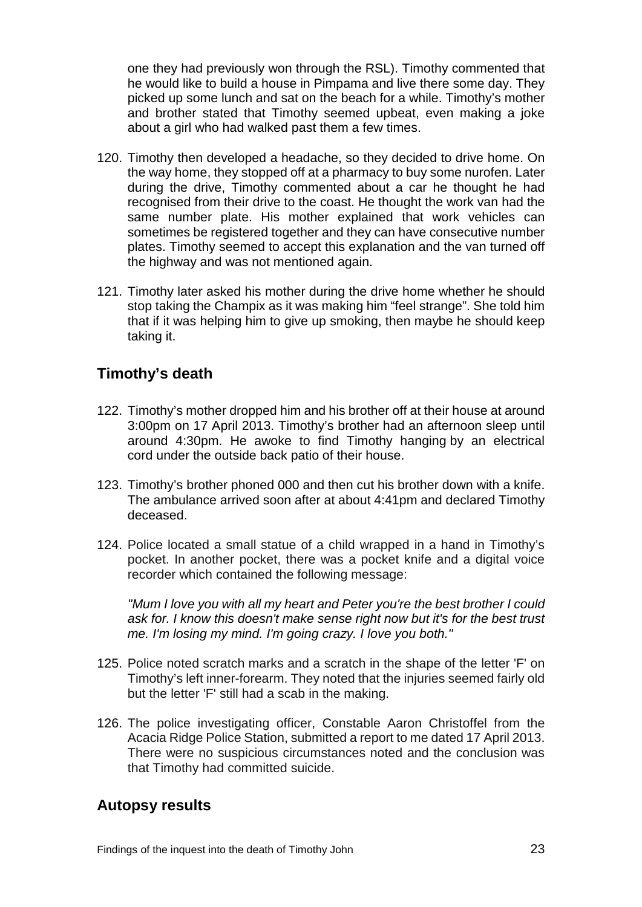one they had previously won through the RSL). Timothy commented that he would like to build a house in Pimpama and live there some day. They picked up some lunch and sat on the beach for a while. Timothy's mother and brother stated that Timothy seemed upbeat, even making a joke about a girl who had walked past them a few times.

- 120. Timothy then developed a headache, so they decided to drive home. On the way home, they stopped off at a pharmacy to buy some nurofen. Later during the drive, Timothy commented about a car he thought he had recognised from their drive to the coast. He thought the work van had the same number plate. His mother explained that work vehicles can sometimes be registered together and they can have consecutive number plates. Timothy seemed to accept this explanation and the van turned off the highway and was not mentioned again.
- 121. Timothy later asked his mother during the drive home whether he should stop taking the Champix as it was making him "feel strange". She told him that if it was helping him to give up smoking, then maybe he should keep taking it.

## <span id="page-24-0"></span>**Timothy's death**

- 122. Timothy's mother dropped him and his brother off at their house at around 3:00pm on 17 April 2013. Timothy's brother had an afternoon sleep until around 4:30pm. He awoke to find Timothy hanging by an electrical cord under the outside back patio of their house.
- 123. Timothy's brother phoned 000 and then cut his brother down with a knife. The ambulance arrived soon after at about 4:41pm and declared Timothy deceased.
- 124. Police located a small statue of a child wrapped in a hand in Timothy's pocket. In another pocket, there was a pocket knife and a digital voice recorder which contained the following message:

*"Mum I love you with all my heart and Peter you're the best brother I could*  ask for. I know this doesn't make sense right now but it's for the best trust *me. I'm losing my mind. I'm going crazy. I love you both."*

- 125. Police noted scratch marks and a scratch in the shape of the letter 'F' on Timothy's left inner-forearm. They noted that the injuries seemed fairly old but the letter 'F' still had a scab in the making.
- 126. The police investigating officer, Constable Aaron Christoffel from the Acacia Ridge Police Station, submitted a report to me dated 17 April 2013. There were no suspicious circumstances noted and the conclusion was that Timothy had committed suicide.

## <span id="page-24-1"></span>**Autopsy results**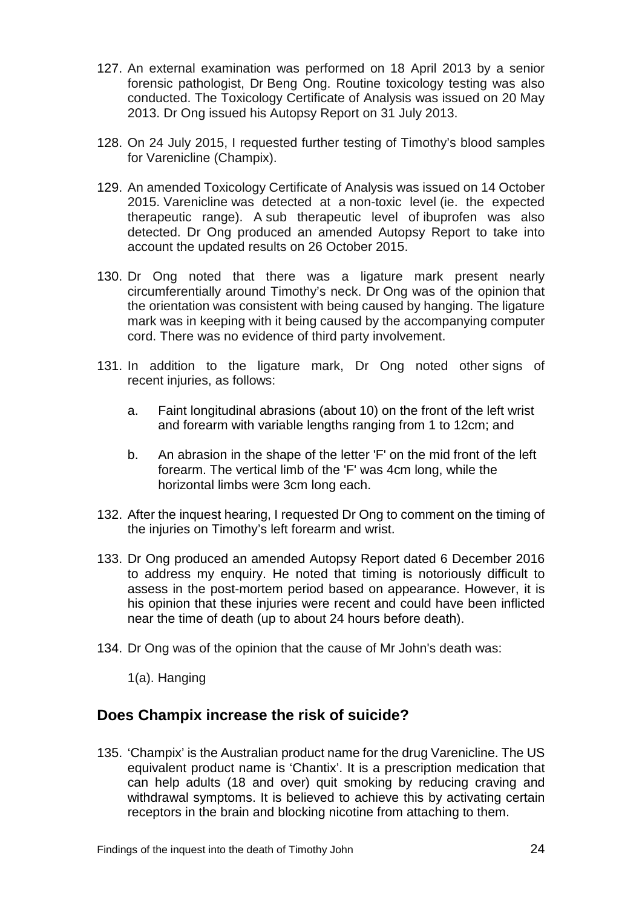- 127. An external examination was performed on 18 April 2013 by a senior forensic pathologist, Dr Beng Ong. Routine toxicology testing was also conducted. The Toxicology Certificate of Analysis was issued on 20 May 2013. Dr Ong issued his Autopsy Report on 31 July 2013.
- 128. On 24 July 2015, I requested further testing of Timothy's blood samples for Varenicline (Champix).
- 129. An amended Toxicology Certificate of Analysis was issued on 14 October 2015. Varenicline was detected at a non-toxic level (ie. the expected therapeutic range). A sub therapeutic level of ibuprofen was also detected. Dr Ong produced an amended Autopsy Report to take into account the updated results on 26 October 2015.
- 130. Dr Ong noted that there was a ligature mark present nearly circumferentially around Timothy's neck. Dr Ong was of the opinion that the orientation was consistent with being caused by hanging. The ligature mark was in keeping with it being caused by the accompanying computer cord. There was no evidence of third party involvement.
- 131. In addition to the ligature mark, Dr Ong noted other signs of recent injuries, as follows:
	- a. Faint longitudinal abrasions (about 10) on the front of the left wrist and forearm with variable lengths ranging from 1 to 12cm; and
	- b. An abrasion in the shape of the letter 'F' on the mid front of the left forearm. The vertical limb of the 'F' was 4cm long, while the horizontal limbs were 3cm long each.
- 132. After the inquest hearing, I requested Dr Ong to comment on the timing of the injuries on Timothy's left forearm and wrist.
- 133. Dr Ong produced an amended Autopsy Report dated 6 December 2016 to address my enquiry. He noted that timing is notoriously difficult to assess in the post-mortem period based on appearance. However, it is his opinion that these injuries were recent and could have been inflicted near the time of death (up to about 24 hours before death).
- 134. Dr Ong was of the opinion that the cause of Mr John's death was:

1(a). Hanging

## <span id="page-25-0"></span>**Does Champix increase the risk of suicide?**

135. 'Champix' is the Australian product name for the drug Varenicline. The US equivalent product name is 'Chantix'. It is a prescription medication that can help adults (18 and over) quit smoking by reducing craving and withdrawal symptoms. It is believed to achieve this by activating certain receptors in the brain and blocking nicotine from attaching to them.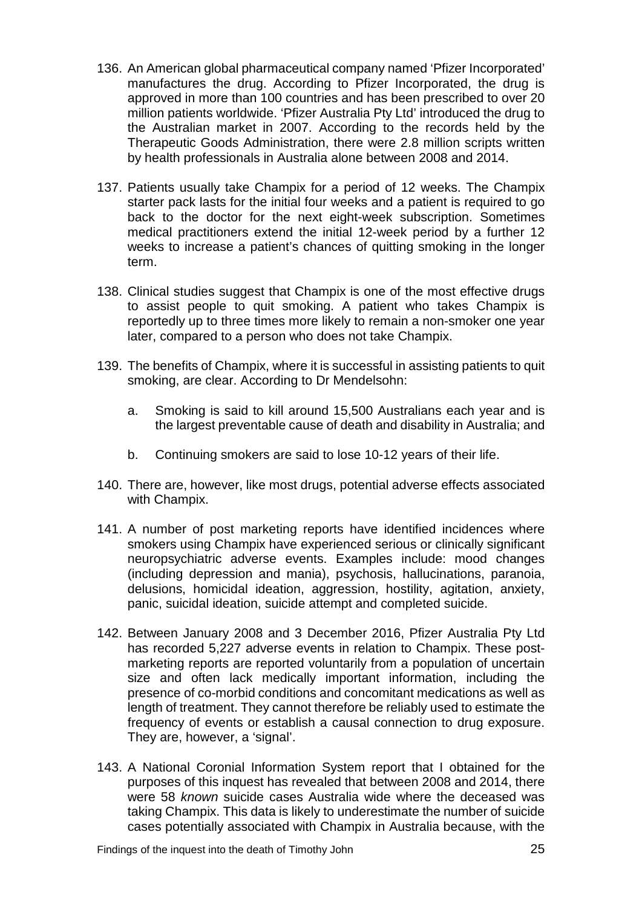- 136. An American global pharmaceutical company named 'Pfizer Incorporated' manufactures the drug. According to Pfizer Incorporated, the drug is approved in more than 100 countries and has been prescribed to over 20 million patients worldwide. 'Pfizer Australia Pty Ltd' introduced the drug to the Australian market in 2007. According to the records held by the Therapeutic Goods Administration, there were 2.8 million scripts written by health professionals in Australia alone between 2008 and 2014.
- 137. Patients usually take Champix for a period of 12 weeks. The Champix starter pack lasts for the initial four weeks and a patient is required to go back to the doctor for the next eight-week subscription. Sometimes medical practitioners extend the initial 12-week period by a further 12 weeks to increase a patient's chances of quitting smoking in the longer term.
- 138. Clinical studies suggest that Champix is one of the most effective drugs to assist people to quit smoking. A patient who takes Champix is reportedly up to three times more likely to remain a non-smoker one year later, compared to a person who does not take Champix.
- 139. The benefits of Champix, where it is successful in assisting patients to quit smoking, are clear. According to Dr Mendelsohn:
	- a. Smoking is said to kill around 15,500 Australians each year and is the largest preventable cause of death and disability in Australia; and
	- b. Continuing smokers are said to lose 10-12 years of their life.
- 140. There are, however, like most drugs, potential adverse effects associated with Champix.
- 141. A number of post marketing reports have identified incidences where smokers using Champix have experienced serious or clinically significant neuropsychiatric adverse events. Examples include: mood changes (including depression and mania), psychosis, hallucinations, paranoia, delusions, homicidal ideation, aggression, hostility, agitation, anxiety, panic, suicidal ideation, suicide attempt and completed suicide.
- 142. Between January 2008 and 3 December 2016, Pfizer Australia Pty Ltd has recorded 5,227 adverse events in relation to Champix. These postmarketing reports are reported voluntarily from a population of uncertain size and often lack medically important information, including the presence of co-morbid conditions and concomitant medications as well as length of treatment. They cannot therefore be reliably used to estimate the frequency of events or establish a causal connection to drug exposure. They are, however, a 'signal'.
- 143. A National Coronial Information System report that I obtained for the purposes of this inquest has revealed that between 2008 and 2014, there were 58 *known* suicide cases Australia wide where the deceased was taking Champix. This data is likely to underestimate the number of suicide cases potentially associated with Champix in Australia because, with the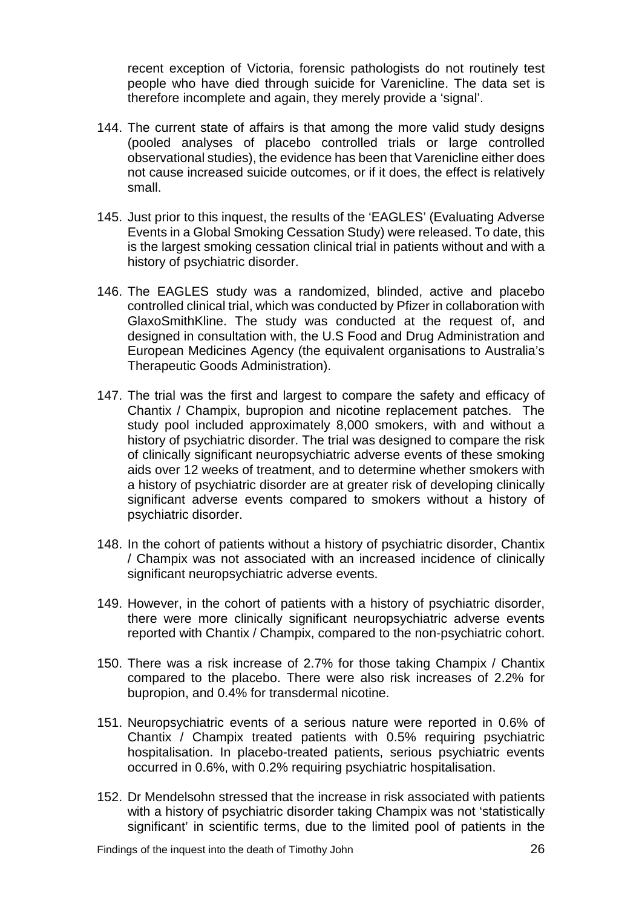recent exception of Victoria, forensic pathologists do not routinely test people who have died through suicide for Varenicline. The data set is therefore incomplete and again, they merely provide a 'signal'.

- 144. The current state of affairs is that among the more valid study designs (pooled analyses of placebo controlled trials or large controlled observational studies), the evidence has been that Varenicline either does not cause increased suicide outcomes, or if it does, the effect is relatively small.
- 145. Just prior to this inquest, the results of the 'EAGLES' (Evaluating Adverse Events in a Global Smoking Cessation Study) were released. To date, this is the largest smoking cessation clinical trial in patients without and with a history of psychiatric disorder.
- 146. The EAGLES study was a randomized, blinded, active and placebo controlled clinical trial, which was conducted by Pfizer in collaboration with GlaxoSmithKline. The study was conducted at the request of, and designed in consultation with, the U.S Food and Drug Administration and European Medicines Agency (the equivalent organisations to Australia's Therapeutic Goods Administration).
- 147. The trial was the first and largest to compare the safety and efficacy of Chantix / Champix, bupropion and nicotine replacement patches. The study pool included approximately 8,000 smokers, with and without a history of psychiatric disorder. The trial was designed to compare the risk of clinically significant neuropsychiatric adverse events of these smoking aids over 12 weeks of treatment, and to determine whether smokers with a history of psychiatric disorder are at greater risk of developing clinically significant adverse events compared to smokers without a history of psychiatric disorder.
- 148. In the cohort of patients without a history of psychiatric disorder, Chantix / Champix was not associated with an increased incidence of clinically significant neuropsychiatric adverse events.
- 149. However, in the cohort of patients with a history of psychiatric disorder, there were more clinically significant neuropsychiatric adverse events reported with Chantix / Champix, compared to the non-psychiatric cohort.
- 150. There was a risk increase of 2.7% for those taking Champix / Chantix compared to the placebo. There were also risk increases of 2.2% for bupropion, and 0.4% for transdermal nicotine.
- 151. Neuropsychiatric events of a serious nature were reported in 0.6% of Chantix / Champix treated patients with 0.5% requiring psychiatric hospitalisation. In placebo-treated patients, serious psychiatric events occurred in 0.6%, with 0.2% requiring psychiatric hospitalisation.
- 152. Dr Mendelsohn stressed that the increase in risk associated with patients with a history of psychiatric disorder taking Champix was not 'statistically significant' in scientific terms, due to the limited pool of patients in the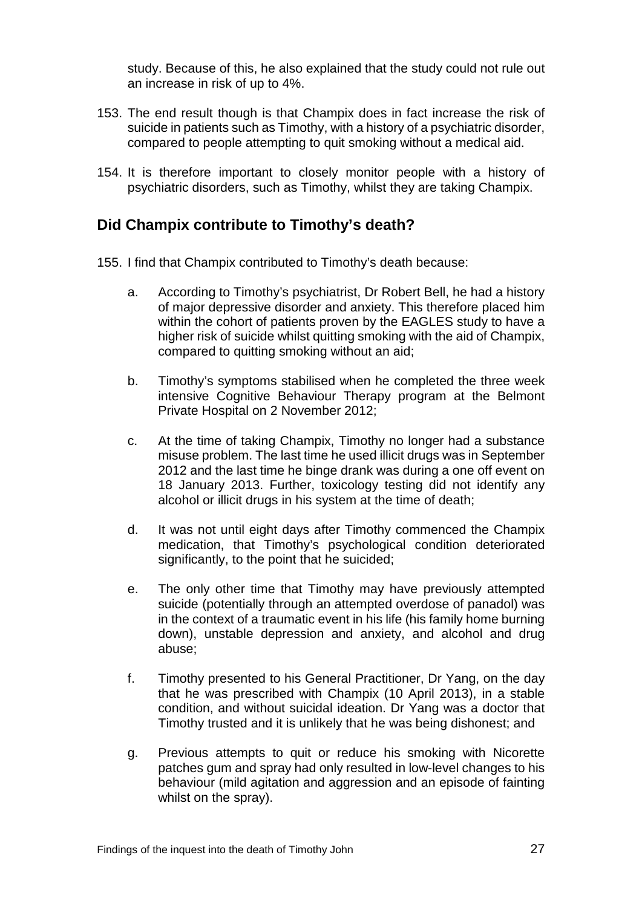study. Because of this, he also explained that the study could not rule out an increase in risk of up to 4%.

- 153. The end result though is that Champix does in fact increase the risk of suicide in patients such as Timothy, with a history of a psychiatric disorder, compared to people attempting to quit smoking without a medical aid.
- 154. It is therefore important to closely monitor people with a history of psychiatric disorders, such as Timothy, whilst they are taking Champix.

## <span id="page-28-0"></span>**Did Champix contribute to Timothy's death?**

- 155. I find that Champix contributed to Timothy's death because:
	- a. According to Timothy's psychiatrist, Dr Robert Bell, he had a history of major depressive disorder and anxiety. This therefore placed him within the cohort of patients proven by the EAGLES study to have a higher risk of suicide whilst quitting smoking with the aid of Champix, compared to quitting smoking without an aid;
	- b. Timothy's symptoms stabilised when he completed the three week intensive Cognitive Behaviour Therapy program at the Belmont Private Hospital on 2 November 2012;
	- c. At the time of taking Champix, Timothy no longer had a substance misuse problem. The last time he used illicit drugs was in September 2012 and the last time he binge drank was during a one off event on 18 January 2013. Further, toxicology testing did not identify any alcohol or illicit drugs in his system at the time of death;
	- d. It was not until eight days after Timothy commenced the Champix medication, that Timothy's psychological condition deteriorated significantly, to the point that he suicided;
	- e. The only other time that Timothy may have previously attempted suicide (potentially through an attempted overdose of panadol) was in the context of a traumatic event in his life (his family home burning down), unstable depression and anxiety, and alcohol and drug abuse;
	- f. Timothy presented to his General Practitioner, Dr Yang, on the day that he was prescribed with Champix (10 April 2013), in a stable condition, and without suicidal ideation. Dr Yang was a doctor that Timothy trusted and it is unlikely that he was being dishonest; and
	- g. Previous attempts to quit or reduce his smoking with Nicorette patches gum and spray had only resulted in low-level changes to his behaviour (mild agitation and aggression and an episode of fainting whilst on the spray).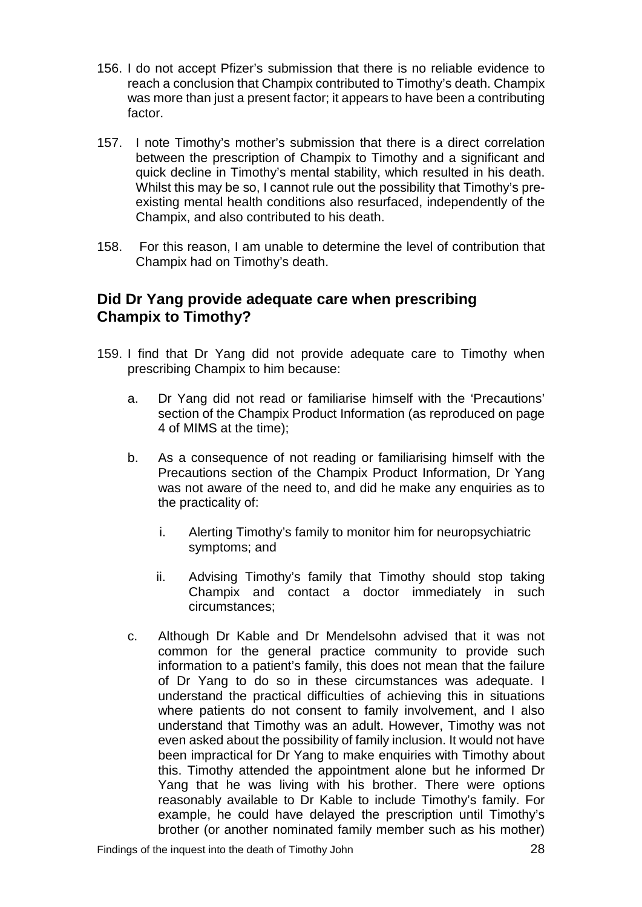- 156. I do not accept Pfizer's submission that there is no reliable evidence to reach a conclusion that Champix contributed to Timothy's death. Champix was more than just a present factor; it appears to have been a contributing factor.
- 157. I note Timothy's mother's submission that there is a direct correlation between the prescription of Champix to Timothy and a significant and quick decline in Timothy's mental stability, which resulted in his death. Whilst this may be so, I cannot rule out the possibility that Timothy's preexisting mental health conditions also resurfaced, independently of the Champix, and also contributed to his death.
- 158. For this reason, I am unable to determine the level of contribution that Champix had on Timothy's death.

## <span id="page-29-0"></span>**Did Dr Yang provide adequate care when prescribing Champix to Timothy?**

- 159. I find that Dr Yang did not provide adequate care to Timothy when prescribing Champix to him because:
	- a. Dr Yang did not read or familiarise himself with the 'Precautions' section of the Champix Product Information (as reproduced on page 4 of MIMS at the time);
	- b. As a consequence of not reading or familiarising himself with the Precautions section of the Champix Product Information, Dr Yang was not aware of the need to, and did he make any enquiries as to the practicality of:
		- i. Alerting Timothy's family to monitor him for neuropsychiatric symptoms; and
		- ii. Advising Timothy's family that Timothy should stop taking Champix and contact a doctor immediately in such circumstances;
	- c. Although Dr Kable and Dr Mendelsohn advised that it was not common for the general practice community to provide such information to a patient's family, this does not mean that the failure of Dr Yang to do so in these circumstances was adequate. I understand the practical difficulties of achieving this in situations where patients do not consent to family involvement, and I also understand that Timothy was an adult. However, Timothy was not even asked about the possibility of family inclusion. It would not have been impractical for Dr Yang to make enquiries with Timothy about this. Timothy attended the appointment alone but he informed Dr Yang that he was living with his brother. There were options reasonably available to Dr Kable to include Timothy's family. For example, he could have delayed the prescription until Timothy's brother (or another nominated family member such as his mother)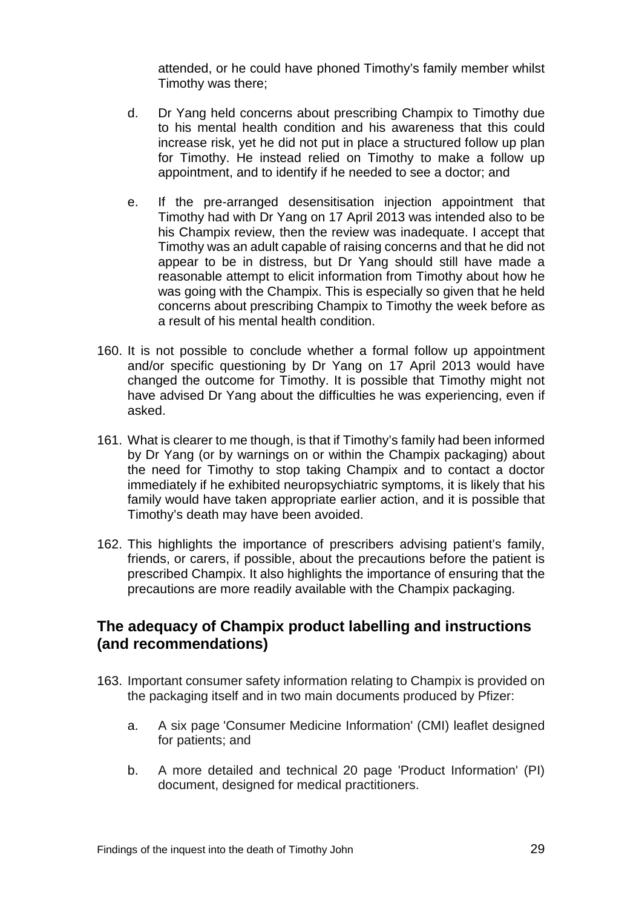attended, or he could have phoned Timothy's family member whilst Timothy was there;

- d. Dr Yang held concerns about prescribing Champix to Timothy due to his mental health condition and his awareness that this could increase risk, yet he did not put in place a structured follow up plan for Timothy. He instead relied on Timothy to make a follow up appointment, and to identify if he needed to see a doctor; and
- e. If the pre-arranged desensitisation injection appointment that Timothy had with Dr Yang on 17 April 2013 was intended also to be his Champix review, then the review was inadequate. I accept that Timothy was an adult capable of raising concerns and that he did not appear to be in distress, but Dr Yang should still have made a reasonable attempt to elicit information from Timothy about how he was going with the Champix. This is especially so given that he held concerns about prescribing Champix to Timothy the week before as a result of his mental health condition.
- 160. It is not possible to conclude whether a formal follow up appointment and/or specific questioning by Dr Yang on 17 April 2013 would have changed the outcome for Timothy. It is possible that Timothy might not have advised Dr Yang about the difficulties he was experiencing, even if asked.
- 161. What is clearer to me though, is that if Timothy's family had been informed by Dr Yang (or by warnings on or within the Champix packaging) about the need for Timothy to stop taking Champix and to contact a doctor immediately if he exhibited neuropsychiatric symptoms, it is likely that his family would have taken appropriate earlier action, and it is possible that Timothy's death may have been avoided.
- 162. This highlights the importance of prescribers advising patient's family, friends, or carers, if possible, about the precautions before the patient is prescribed Champix. It also highlights the importance of ensuring that the precautions are more readily available with the Champix packaging.

## <span id="page-30-0"></span>**The adequacy of Champix product labelling and instructions (and recommendations)**

- 163. Important consumer safety information relating to Champix is provided on the packaging itself and in two main documents produced by Pfizer:
	- a. A six page 'Consumer Medicine Information' (CMI) leaflet designed for patients; and
	- b. A more detailed and technical 20 page 'Product Information' (PI) document, designed for medical practitioners.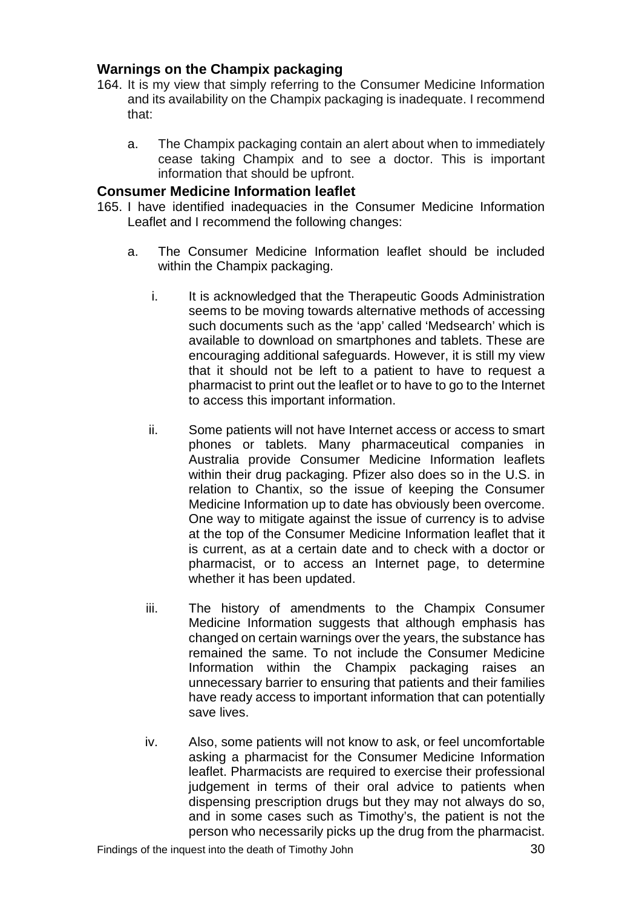### <span id="page-31-0"></span>**Warnings on the Champix packaging**

- 164. It is my view that simply referring to the Consumer Medicine Information and its availability on the Champix packaging is inadequate. I recommend that:
	- a. The Champix packaging contain an alert about when to immediately cease taking Champix and to see a doctor. This is important information that should be upfront.

#### <span id="page-31-1"></span>**Consumer Medicine Information leaflet**

- 165. I have identified inadequacies in the Consumer Medicine Information Leaflet and I recommend the following changes:
	- a. The Consumer Medicine Information leaflet should be included within the Champix packaging.
		- i. It is acknowledged that the Therapeutic Goods Administration seems to be moving towards alternative methods of accessing such documents such as the 'app' called 'Medsearch' which is available to download on smartphones and tablets. These are encouraging additional safeguards. However, it is still my view that it should not be left to a patient to have to request a pharmacist to print out the leaflet or to have to go to the Internet to access this important information.
		- ii. Some patients will not have Internet access or access to smart phones or tablets. Many pharmaceutical companies in Australia provide Consumer Medicine Information leaflets within their drug packaging. Pfizer also does so in the U.S. in relation to Chantix, so the issue of keeping the Consumer Medicine Information up to date has obviously been overcome. One way to mitigate against the issue of currency is to advise at the top of the Consumer Medicine Information leaflet that it is current, as at a certain date and to check with a doctor or pharmacist, or to access an Internet page, to determine whether it has been updated.
		- iii. The history of amendments to the Champix Consumer Medicine Information suggests that although emphasis has changed on certain warnings over the years, the substance has remained the same. To not include the Consumer Medicine Information within the Champix packaging raises an unnecessary barrier to ensuring that patients and their families have ready access to important information that can potentially save lives.
		- iv. Also, some patients will not know to ask, or feel uncomfortable asking a pharmacist for the Consumer Medicine Information leaflet. Pharmacists are required to exercise their professional judgement in terms of their oral advice to patients when dispensing prescription drugs but they may not always do so, and in some cases such as Timothy's, the patient is not the person who necessarily picks up the drug from the pharmacist.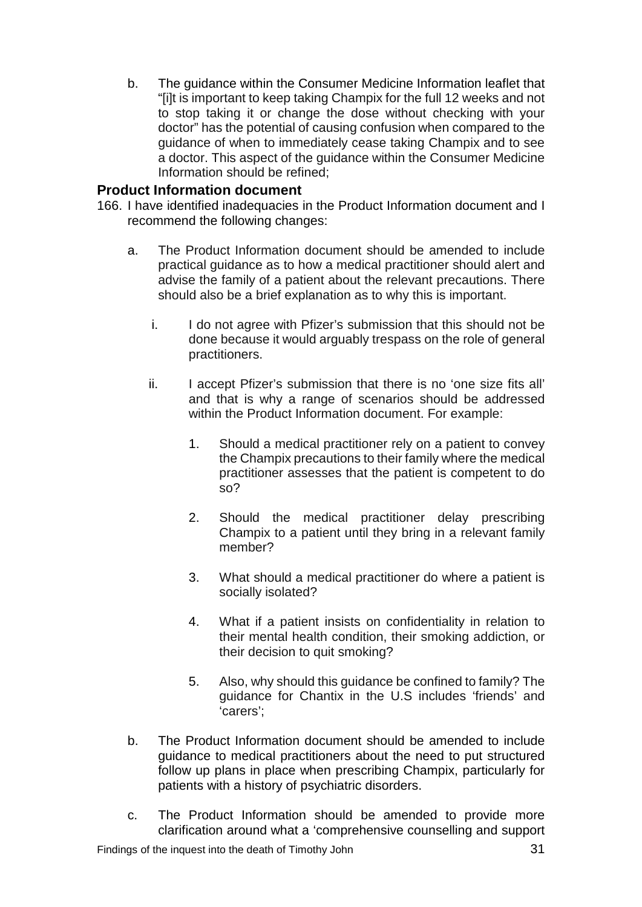b. The guidance within the Consumer Medicine Information leaflet that "[i]t is important to keep taking Champix for the full 12 weeks and not to stop taking it or change the dose without checking with your doctor" has the potential of causing confusion when compared to the guidance of when to immediately cease taking Champix and to see a doctor. This aspect of the guidance within the Consumer Medicine Information should be refined;

#### <span id="page-32-0"></span>**Product Information document**

- 166. I have identified inadequacies in the Product Information document and I recommend the following changes:
	- a. The Product Information document should be amended to include practical guidance as to how a medical practitioner should alert and advise the family of a patient about the relevant precautions. There should also be a brief explanation as to why this is important.
		- i. I do not agree with Pfizer's submission that this should not be done because it would arguably trespass on the role of general practitioners.
		- ii. I accept Pfizer's submission that there is no 'one size fits all' and that is why a range of scenarios should be addressed within the Product Information document. For example:
			- 1. Should a medical practitioner rely on a patient to convey the Champix precautions to their family where the medical practitioner assesses that the patient is competent to do so?
			- 2. Should the medical practitioner delay prescribing Champix to a patient until they bring in a relevant family member?
			- 3. What should a medical practitioner do where a patient is socially isolated?
			- 4. What if a patient insists on confidentiality in relation to their mental health condition, their smoking addiction, or their decision to quit smoking?
			- 5. Also, why should this guidance be confined to family? The guidance for Chantix in the U.S includes 'friends' and 'carers';
	- b. The Product Information document should be amended to include guidance to medical practitioners about the need to put structured follow up plans in place when prescribing Champix, particularly for patients with a history of psychiatric disorders.
	- c. The Product Information should be amended to provide more clarification around what a 'comprehensive counselling and support